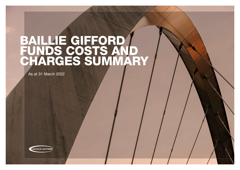# BAILLIE GIFFORD FUNDS COSTS AND CHARGES SUMMARY

As at 31 March 2022



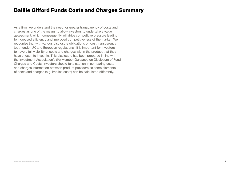As a firm, we understand the need for greater transparency of costs and charges as one of the means to allow investors to undertake a value assessment, which consequently will drive competitive pressure leading to increased efficiency and improved competitiveness of the market. We recognise that with various disclosure obligations on cost transparency (both under UK and European regulations), it is important for investors to have a full visibility of costs and charges within the product that they have chosen to invest in. This disclosure has been prepared in line with the Investment Association's (IA) Member Guidance on Disclosure of Fund Charges and Costs. Investors should take caution in comparing costs and charges information between product providers as some elements of costs and charges (e.g. implicit costs) can be calculated differently.

### Baillie Gifford Funds Costs and Charges Summary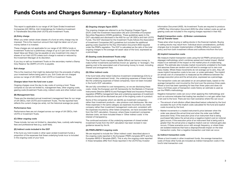### Funds Costs and Charges Summary – Explanatory Notes

This report is applicable to our range of UK Open Ended Investment Companies (UK OEICs), Irish Undertakings for Collective Investment in Transferable Securities (Irish UCITS) and Investment Trusts.

#### **(A) Entry charge**

When you enter certain share classes of a fund an entry charge may be imposed. This is the maximum amount that might be taken out of your money before it is invested.

These charges are not applicable for our range of UK OEICs funds or Investment Trusts but a preliminary charge of up to 5 per cent of the Net Asset Value per Share may be payable on any investment into class A shares of our Irish UCITS unless such charge is waived or reduced by the Investment Manager at its discretion.

If you buy or sell our Investment Trusts on the secondary market a Stamp Duty Reserve Tax (SDRT) of 0.5% is payable.

#### **Exit charge**

This is the maximum that might be deducted from the proceeds of selling your investment before being paid to you. Exit Costs are not charged across our range of UK OEICs, Irish UCITS or Investment Trusts.

#### **Charges taken from the fund over a year:**

Ongoing charges cover the day to day costs of running a fund. These comprise of, but are not limited to, management fees, other ongoing costs, gearing costs (Investment Trusts only), indirect costs and other indirect costs.

#### **(B) Management fees**

These are the standard annual investment management fees for our range of UK OEICs, Irish UCITS and Investment Trusts. The fee reported here reflects the current charge (ex-ante), not the historical average (ex-post).

#### **Performance fees**

Performance fees are not charged across our range of UK OEICs, Irish UCITS or Investment Trusts.

#### **(C) Other ongoing costs**

These include, but are not limited to, depositary fees, custody safe keeping fees and professional fees (e.g. audit fees).

We are fully committed to cost transparency, so we are disclosing these costs. Under the European and UK frameworks for the Markets in Financial Instruments Directive (MiFID II) and Packaged Retail and Insurance Products regulation (PRIIPs) management fees and underlying expenses of investment products should all be disclosed as part of the ongoing costs of a product.

#### **(D) Indirect costs included in the OCF**

If the fund you hold invests in other open-ended investment funds a proportion of the expenses that these underlying funds incur is included in the ongoing costs of your fund.

#### **(E) Ongoing charges figure (OCF)**

The ongoing charges are referred to as the Ongoing Charges Figure (OCF) under the Investment Association (IA) and Committee of European Securities Regulators (CESR) guidelines. These guidelines apply to the OCF calculated and disclosed in the KIID for our UK OEICs and Irish UCITS Funds. The OCF disclosed for the Investment Trusts follows the Association of Investment Companies (AIC) guidelines but includes the additional gearing costs required for the Key Information Document (KID) required under the PRIIPs regulation. The OCF is calculated as the ratio of the total ongoing charges to the average net asset value of the fund, expressed as a percentage.

#### **(F) Gearing costs (Investment Trusts only)**

The Investment Trusts managed by Baillie Gifford can borrow money to make further investments (sometimes known as 'gearing' or 'leverage'). The gearing cost is the associated cost of borrowing money to invest, including interest and arrangement fees.

#### **(G) Other indirect costs**

If the fund holds other listed Collective Investment Undertakings (CIU's) or 'closed ended investment funds', the underlying expenses of these funds, like the underlying expenses of listed companies, have not been included in the fund's OCF calculation.

Some of the companies which we identify as investment companies – rather than investment products – also produce cost disclosures. We view these expenses in the same category as expenses incurred by any listed company rather than investment management costs and, consistent with the expenses incurred by other listed companies, we have excluded these from the OCF calculation. However, where these investment companies disclose costs, we have included these in 'Other indirect costs' in the interest of transparency.

The continued exclusion of the underlying expenses of closed ended investment funds from the OCF calculation has been revised in new guidance issued by the IA.

#### **(H) PRIIPs/MiFID II ongoing costs**

We are required to include the 'Other indirect costs' described above in the ongoing costs reported in the European PRIIPs template (EPT) and the European MiFID II Template (EMT). This is why the ongoing costs reported in these templates differ from those reported in the UCITS Key Investor

Information Document (KIID). As Investment Trusts are required to produce a PRIIPs Key Information Document (KID) the other indirect costs as well as gearing costs are included in the ongoing charges reported in their KID.

#### **Explicit transaction costs – (I) Broker commissions and (J) Transfer taxes**

These arise when buying or selling stocks in the financial markets. Buying or selling stocks may result from: individual stock considerations, portfolio changes due to broader implementation of Baillie Gifford's investment policy and from both investment inflows and outflows into/from the fund.

#### **(K) Implicit transaction costs**

We measure implicit transaction costs using the full PRIIPs arrival price (or slippage) methodology which combines spread and market impact. Market impact is an estimate of the impact on the market price of a trade being placed. The estimate also includes market movements unrelated to the trade and assumes these are random and will tend to average out to zero over many trades. Where these movements do not average out to zero, they will cause implicit transaction costs to be over- or under-estimated. The implicit (or arrival) cost of a transaction is measured as the difference between the average execution price and the arrival price, expressed as a percentage.

The transaction costs are calculated on an annualised basis, based on the average transaction cost incurred by the fund over the previous three years. Where a fund has been operating for less than three years and does not have a full three years of transaction costs history an estimate is used as per the PRIIPs methodology.

Negative transaction costs can occur when applying this methodology and such an outcome indicates that trading has resulted in a net gain rather than a net cost to the fund. There are two main scenarios where this can occur:

— The amount of anti-dilution offset (described below) collected by the fund exceeds the sum of the implicit costs calculated for the fund and explicit

- costs incurred by the fund.
- 

— Market movements in a traded instrument's price between when the order was placed (the arrival time) and when the order was fulfilled (execution time). If the execution price of an instrument that is being purchased falls below the arrival price a negative implicit cost (or notional gain) occurs. If the execution price of an instrument that is being sold is greater than the arrival price a negative implicit cost (or notional gain) also occurs. If these scenarios occur with enough frequency, or where there are isolated instances that have a disproportionate impact on the total transaction costs, then a negative transaction cost total can occur.

### **(L) Indirect transaction costs**

Where a fund invests in other investment funds, the average transaction costs of those other funds are included as indirect transaction costs in the fund's total transaction cost.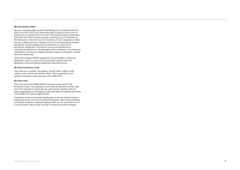#### **(M) Anti-dilution offset**

We use a swinging single pricing methodology for our pooled funds (UK OEICs and Irish UCITS) and reserve the right to adjust a fund's price to protect your investment from the costs of buying and selling investments that result from other investors joining or leaving a fund. An estimate of the transaction costs that may be incurred by a fund in response to other investors' dealing activity is passed onto the incoming/outgoing investor through the swinging single pricing mechanism by means of an anti-dilution adjustment. The amount of any such adjustment is calculated by reference to the estimated costs of dealing in the underlying investments, including any dealing spreads, broker commissions, transfer taxes and stamp duty.

Under the European PRIIP's regulations it is permissible to offset the transaction costs of a fund with the proceeds collected from the application of the anti-dilution adjustment described above.

#### **(N) Total transaction costs**

This is the sum of broker commission, transfer taxes, implicit costs, indirect costs, and the anti-dilution offset. This is equivalent to the portfolio transaction costs reported in the PRIIPs EPT.

#### **(O) Total costs**

This is the sum of (H) PRIIPs/MiFID II ongoing costs and (N) Total transaction costs. This represents what could be referred to as the 'total fund cost' however it is generally the case that the ongoing costs are viewed separately from transaction costs and both are reported separately in the PRIIPs EPT and the MiFID II EMT.

Transaction costs can fluctuate significantly as they are directly linked to trading activity as a result of investment decisions, client inflows/outflows and market conditions, whereas ongoing costs are not, and tend to be of a more constant nature within the direct control of the asset manager.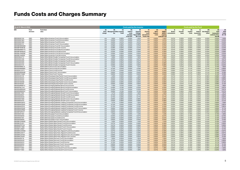## Funds Costs and Charges Summary

| <b>As at 31 March 2022</b>   |                            |                                                                                                                            |                        |                                        |                | Costs paid by the investor                         |                                                        |                                                                | <b>Costs paid by the Fund</b>            |                                                                |                                       |                                 |                          |                                         |                                |                                                                 |                                           |
|------------------------------|----------------------------|----------------------------------------------------------------------------------------------------------------------------|------------------------|----------------------------------------|----------------|----------------------------------------------------|--------------------------------------------------------|----------------------------------------------------------------|------------------------------------------|----------------------------------------------------------------|---------------------------------------|---------------------------------|--------------------------|-----------------------------------------|--------------------------------|-----------------------------------------------------------------|-------------------------------------------|
| ISIN                         | Fund<br>structure          | <b>Fund share</b><br>class                                                                                                 | (A)<br>Entry<br>charge | (B)<br>Management Other ongoing<br>fee | (C)<br>costs   | (D)<br>Indirect<br>costs<br>included<br>in the OCF | (E)<br>Ongoing<br>Charges<br>Figure (OCF)<br>$(B+C+D)$ | (F)<br>Gearing<br>costs<br><i>(Investment)</i><br>Trusts only) | (G)<br>Other<br><b>Indirect</b><br>costs | (H)<br>PRIIPs/<br><b>MiFID II</b><br>ongoing<br>$costs(E+F+G)$ | - (I)<br><b>Broker</b><br>commissions | (J)<br><b>Transfer</b><br>taxes | (K)<br>Implicit<br>costs | (L)<br>Indirect<br>transaction<br>costs | (M)<br>Anti-dilution<br>offset | (N)<br><b>Total</b><br>transaction<br>costs (I+J+K+L<br>less M) | (O)<br><b>Total</b><br>Costs<br>$(H + N)$ |
| GB0006061740                 | <b>OEIC</b>                | Baillie Gifford American Fund A Accumulation                                                                               | n/a                    | 1.50%                                  | 0.02%          | 0.00%                                              | 1.52%                                                  | n/a                                                            | 0.00%                                    | 1.52%                                                          | 0.01%                                 | 0.00%                           | 0.05%                    | 0.00%                                   | 0.03%                          | 0.03%                                                           | 1.55%                                     |
| GB0006061963                 | <b>OEIC</b>                | Baillie Gifford American Fund B Accumulation                                                                               | n/a                    | 0.50%                                  | 0.01%          | 0.00%                                              | 0.51%                                                  | n/a                                                            | 0.00%                                    | 0.51%                                                          | 0.01%                                 | 0.00%                           | 0.05%                    | 0.00%                                   | 0.03%                          | 0.03%                                                           | 0.54%                                     |
| GB0006061856                 | <b>OEIC</b>                | Baillie Gifford American Fund B Income                                                                                     | n/a                    | 0.50%                                  | 0.01%          | 0.00%                                              | 0.51%                                                  | n/a                                                            | 0.00%                                    | 0.51%                                                          | 0.01%                                 | 0.00%                           | 0.05%                    | 0.00%                                   | 0.03%                          | 0.03%                                                           | 0.54%                                     |
| GB0006062151<br>GB00BD9MNS66 | <b>OEIC</b><br><b>OEIC</b> | Baillie Gifford American Fund C Accumulation                                                                               | n/a                    | 0.00%<br>0.29%                         | 0.02%          | 0.00%                                              | 0.02%                                                  | n/a                                                            | 0.00%                                    | 0.02%                                                          | 0.01%                                 | 0.00%                           | 0.05%                    | 0.00%                                   | 0.03%                          | 0.03%                                                           | 0.05%<br>0.34%                            |
| GB00BFWK8F38                 | <b>OEIC</b>                | Baillie Gifford American Fund W1 Accumulation<br>Baillie Gifford American Fund W1 Income                                   | n/a<br>n/a             | 0.29%                                  | 0.02%<br>0.02% | 0.00%<br>0.00%                                     | 0.31%<br>0.31%                                         | n/a<br>n/a                                                     | 0.00%<br>0.00%                           | 0.31%<br>0.31%                                                 | 0.01%<br>0.01%                        | 0.00%<br>0.00%                  | 0.05%<br>0.05%           | 0.00%<br>0.00%                          | 0.03%<br>0.03%                 | 0.03%<br>0.03%                                                  | 0.34%                                     |
| GB00BD9MNT73                 | OEIC                       | Baillie Gifford American Fund W3 Accumulation                                                                              | n/a                    | 0.32%                                  | 0.03%          | 0.00%                                              | 0.35%                                                  | n/a                                                            | 0.00%                                    | 0.35%                                                          | 0.01%                                 | 0.00%                           | 0.05%                    | 0.00%                                   | 0.03%                          | 0.03%                                                           | 0.38%                                     |
| GB00BFWK8G45                 | <b>OEIC</b>                | Baillie Gifford American Fund W3 Income                                                                                    | n/a                    | 0.32%                                  | 0.03%          | 0.00%                                              | 0.35%                                                  | n/a                                                            | 0.00%                                    | 0.35%                                                          | 0.01%                                 | 0.00%                           | 0.05%                    | 0.00%                                   | 0.03%                          | 0.03%                                                           | 0.38%                                     |
| GB00BLPHND68                 | <b>OEIC</b>                | Baillie Gifford American Fund W4 Accumulation                                                                              | n/a                    | 0.50%                                  | 0.02%          | 0.00%                                              | 0.52%                                                  | n/a                                                            | 0.00%                                    | 0.52%                                                          | 0.01%                                 | 0.00%                           | 0.05%                    | 0.00%                                   | 0.03%                          | 0.03%                                                           | 0.55%                                     |
| GB00BLPHNF82                 | <b>OEIC</b>                | Baillie Gifford American Fund W4 Income                                                                                    | n/a                    | 0.50%                                  | 0.02%          | 0.00%                                              | 0.52%                                                  | n/a                                                            | 0.00%                                    | 0.52%                                                          | 0.01%                                 | 0.00%                           | 0.05%                    | 0.00%                                   | 0.03%                          | 0.03%                                                           | 0.55%                                     |
| GB0005924773                 | OEIC                       | Baillie Gifford British Smaller Companies Fund A Accumulation                                                              | n/a                    | 1.50%                                  | 0.02%          | 0.00%                                              | 1.52%                                                  | n/a                                                            | 0.06%                                    | 1.58%                                                          | 0.02%                                 | 0.02%                           | 0.02%                    | 0.00%                                   | 0.19%                          | $-0.12%$                                                        | 1.46%                                     |
| GB0005931356                 | <b>OEIC</b>                | Baillie Gifford British Smaller Companies Fund B Accumulation                                                              | n/a                    | 0.65%                                  | 0.02%          | 0.00%                                              | 0.67%                                                  | n/a                                                            | 0.06%                                    | 0.73%                                                          | 0.02%                                 | 0.02%                           | 0.02%                    | 0.00%                                   | 0.19%                          | $-0.12%$                                                        | 0.61%                                     |
| GB0005930382                 | OEIC                       | Baillie Gifford British Smaller Companies Fund B Income                                                                    | n/a                    | 0.65%                                  | 0.02%          | 0.00%                                              | 0.67%                                                  | n/a                                                            | 0.06%                                    | 0.73%                                                          | 0.02%                                 | 0.02%                           | 0.02%                    | 0.00%                                   | 0.19%                          | $-0.12%$                                                        | 0.61%                                     |
| GB0005933394                 | OEIC                       | Baillie Gifford British Smaller Companies Fund C Accumulation                                                              | n/a                    | 0.00%                                  | 0.02%          | 0.00%                                              | 0.02%                                                  | n/a                                                            | 0.06%                                    | 0.08%                                                          | 0.02%                                 | 0.02%                           | 0.02%                    | 0.00%                                   | 0.19%                          | $-0.12%$                                                        | $-0.04%$                                  |
| GB0005931570                 | OEIC                       | Baillie Gifford British Smaller Companies Fund C Income                                                                    | n/a                    | 0.00%                                  | 0.02%          | 0.00%                                              | 0.02%                                                  | n/a                                                            | 0.06%                                    | 0.08%                                                          | 0.02%                                 | 0.02%                           | 0.02%                    | 0.00%                                   | 0.19%                          | $-0.12%$                                                        | $-0.04%$                                  |
| GB00B39RML74                 | OEIC                       | Baillie Gifford China Fund A Accumulation                                                                                  | n/a                    | 1.47%                                  | 0.04%          | 0.00%                                              | 1.51%                                                  | n/a                                                            | 0.00%                                    | 1.51%                                                          | 0.06%                                 | 0.12%                           | 0.17%                    | 0.00%                                   | 0.21%                          | 0.14%                                                           | 1.65%                                     |
| GB00B39RMM81                 | <b>OEIC</b>                | Baillie Gifford China Fund B Accumulation                                                                                  | n/a                    | 0.72%                                  | 0.04%          | 0.00%                                              | 0.76%                                                  | n/a                                                            | 0.00%                                    | 0.76%                                                          | 0.06%                                 | 0.12%                           | 0.17%                    | 0.00%                                   | 0.21%                          | 0.14%                                                           | 0.90%                                     |
| GB00B3K73F73                 | <b>OEIC</b>                | Baillie Gifford China Fund B Income                                                                                        | n/a                    | 0.72%                                  | 0.04%          | 0.00%                                              | 0.76%                                                  | n/a                                                            | 0.00%                                    | 0.76%                                                          | 0.06%                                 | 0.12%                           | 0.17%                    | 0.00%                                   | 0.21%                          | 0.14%                                                           | 0.90%                                     |
| GB00B39RMN98                 | OEIC                       | Baillie Gifford China Fund C Accumulation                                                                                  | n/a                    | 0.00%                                  | 0.04%          | 0.00%                                              | 0.04%                                                  | n/a                                                            | 0.00%                                    | 0.04%                                                          | 0.06%                                 | 0.12%                           | 0.17%                    | 0.00%                                   | 0.21%                          | 0.14%                                                           | 0.18%                                     |
| GB00B3K73G80                 | <b>OEIC</b>                | Baillie Gifford China Fund C Income                                                                                        | n/a                    | 0.00%                                  | 0.04%          | 0.00%                                              | 0.04%                                                  | n/a                                                            | 0.00%                                    | 0.04%                                                          | 0.06%                                 | 0.12%                           | 0.17%                    | 0.00%                                   | 0.21%                          | 0.14%                                                           | 0.18%                                     |
| GB0030491418                 | <b>OEIC</b>                | Baillie Gifford Developed Asia Pacific Fund A Accumulation                                                                 | n/a                    | 1.40%                                  | 0.05%          | 0.00%                                              | 1.45%                                                  | n/a                                                            | 0.00%                                    | 1.45%                                                          | 0.01%                                 | 0.01%                           | 0.11%                    | 0.01%                                   | 0.06%                          | 0.08%                                                           | 1.53%                                     |
| GB0030492044                 | OEIC                       | Baillie Gifford Developed Asia Pacific Fund B Accumulation                                                                 | n/a                    | 0.55%                                  | 0.05%          | 0.00%                                              | 0.60%                                                  | n/a                                                            | 0.00%                                    | 0.60%                                                          | 0.01%                                 | 0.01%                           | 0.11%                    | 0.01%                                   | 0.06%                          | 0.08%                                                           | 0.68%                                     |
| GB0030491632                 | <b>OEIC</b>                | Baillie Gifford Developed Asia Pacific Fund B Income                                                                       | n/a                    | 0.55%                                  | 0.04%          | 0.00%                                              | 0.59%                                                  | n/a                                                            | 0.00%                                    | 0.59%                                                          | 0.01%                                 | 0.01%                           | 0.11%                    | 0.01%                                   | 0.06%                          | 0.08%                                                           | 0.67%                                     |
| GB0030492598                 | <b>OEIC</b>                | Baillie Gifford Developed Asia Pacific Fund C Accumulation                                                                 | n/a                    | 0.00%                                  | 0.05%          | 0.00%                                              | 0.05%                                                  | n/a                                                            | 0.00%                                    | 0.05%                                                          | 0.01%                                 | 0.01%                           | 0.11%                    | 0.01%                                   | 0.06%                          | 0.08%                                                           | 0.13%                                     |
| GB0030492267                 | <b>OEIC</b>                | Baillie Gifford Developed Asia Pacific Fund C Income                                                                       | n/a                    | 0.00%                                  | 0.05%          | 0.00%                                              | 0.05%                                                  | n/a                                                            | 0.00%                                    | 0.05%                                                          | 0.01%                                 | 0.01%                           | 0.11%                    | 0.01%                                   | 0.06%                          | 0.08%                                                           | 0.13%                                     |
| GB00B39RMP13                 | <b>OEIC</b>                | Baillie Gifford Emerging Markets Bond Fund A Income                                                                        | n/a                    | 1.10%                                  | 0.12%          | 0.00%                                              | 1.22%                                                  | n/a                                                            | 0.00%                                    | 1.22%                                                          | 0.00%                                 | 0.00%                           | 1.00%                    | 0.00%                                   | 0.56%                          | 0.44%                                                           | 1.66%                                     |
| GB00B7MCJT41                 | <b>OEIC</b>                | Baillie Gifford Emerging Markets Bond Fund B Accumulation                                                                  | n/a                    | 0.40%                                  | 0.13%          | 0.00%                                              | 0.53%                                                  | n/a                                                            | 0.00%                                    | 0.53%                                                          | 0.00%                                 | 0.00%                           | 1.00%                    | 0.00%                                   | 0.56%                          | 0.44%                                                           | 0.97%                                     |
| GB00B39RMQ20                 | OEIC<br><b>OEIC</b>        | Baillie Gifford Emerging Markets Bond Fund B Income                                                                        | n/a                    | 0.40%                                  | 0.13%          | 0.00%                                              | 0.53%                                                  | n/a                                                            | 0.00%                                    | 0.53%                                                          | 0.00%                                 | 0.00%                           | 1.00%                    | 0.00%                                   | 0.56%                          | 0.44%                                                           | 0.97%                                     |
| GB00B39RMS44<br>GB0006017825 | <b>OEIC</b>                | Baillie Gifford Emerging Markets Bond Fund C Accumulation<br>Baillie Gifford Emerging Markets Growth Fund A Accumulation   | n/a<br>n/a             | 0.00%<br>1.47%                         | 0.13%<br>0.05% | 0.00%<br>0.00%                                     | 0.13%<br>1.52%                                         | n/a<br>n/a                                                     | 0.00%<br>0.00%                           | 0.13%<br>1.52%                                                 | 0.00%<br>0.03%                        | 0.00%<br>0.04%                  | 1.00%<br>0.13%           | 0.00%<br>0.00%                          | 0.56%<br>0.05%                 | 0.44%<br>0.15%                                                  | 0.57%<br>1.67%                            |
| GB0006020647                 | <b>OEIC</b>                | Baillie Gifford Emerging Markets Growth Fund B Accumulation                                                                | n/a                    | 0.72%                                  | 0.05%          | 0.00%                                              | 0.77%                                                  | n/a                                                            | 0.00%                                    | 0.77%                                                          | 0.03%                                 | 0.04%                           | 0.13%                    | 0.00%                                   | 0.05%                          | 0.15%                                                           | 0.92%                                     |
| GB0006020530                 | OEIC                       | Baillie Gifford Emerging Markets Growth Fund B Income                                                                      | n/a                    | 0.72%                                  | 0.05%          | 0.00%                                              | 0.77%                                                  | n/a                                                            | 0.00%                                    | 0.77%                                                          | 0.03%                                 | 0.04%                           | 0.13%                    | 0.00%                                   | 0.05%                          | 0.15%                                                           | 0.92%                                     |
| GB0006057060                 | <b>OEIC</b>                | Baillie Gifford Emerging Markets Growth Fund C Accumulation                                                                | n/a                    | 0.00%                                  | 0.06%          | 0.00%                                              | 0.06%                                                  | n/a                                                            | 0.00%                                    | 0.06%                                                          | 0.03%                                 | 0.04%                           | 0.13%                    | 0.00%                                   | 0.05%                          | 0.15%                                                           | 0.21%                                     |
| GB0006020753                 | <b>OEIC</b>                | Baillie Gifford Emerging Markets Growth Fund C Income                                                                      | n/a                    | 0.00%                                  | 0.06%          | 0.00%                                              | 0.06%                                                  | n/a                                                            | 0.00%                                    | 0.06%                                                          | 0.03%                                 | 0.04%                           | 0.13%                    | 0.00%                                   | 0.05%                          | 0.15%                                                           | 0.21%                                     |
| GB00B06HZM12                 | OEIC                       | Baillie Gifford Emerging Markets Leading Companies Fund A Accumulation                                                     | n/a                    | 1.47%                                  | 0.05%          | 0.00%                                              | 1.52%                                                  | n/a                                                            | 0.00%                                    | 1.52%                                                          | 0.03%                                 | 0.04%                           | 0.06%                    | 0.00%                                   | 0.05%                          | 0.06%                                                           | 1.58%                                     |
| GB00B06HZN29                 | <b>OEIC</b>                | Baillie Gifford Emerging Markets Leading Companies Fund B Accumulation                                                     | n/a                    | 0.72%                                  | 0.04%          | 0.00%                                              | 0.76%                                                  | n/a                                                            | 0.00%                                    | 0.76%                                                          | 0.03%                                 | 0.04%                           | 0.06%                    | 0.00%                                   | 0.05%                          | 0.06%                                                           | 0.82%                                     |
| GB00B06HZP43                 | <b>OEIC</b>                | Baillie Gifford Emerging Markets Leading Companies Fund B Income                                                           | n/a                    | 0.72%                                  | 0.04%          | 0.00%                                              | 0.76%                                                  | n/a                                                            | 0.00%                                    | 0.76%                                                          | 0.03%                                 | 0.04%                           | 0.06%                    | 0.00%                                   | 0.05%                          | 0.06%                                                           | 0.82%                                     |
| GB00B06HZQ59                 | <b>OEIC</b>                | Baillie Gifford Emerging Markets Leading Companies Fund C Accumulation                                                     | n/a                    | 0.00%                                  | 0.05%          | 0.00%                                              | 0.05%                                                  | n/a                                                            | 0.00%                                    | 0.05%                                                          | 0.03%                                 | 0.04%                           | 0.06%                    | 0.00%                                   | 0.05%                          | 0.06%                                                           | 0.11%                                     |
| GB00B06HZR66                 | <b>OEIC</b>                | Baillie Gifford Emerging Markets Leading Companies Fund C Income                                                           | n/a                    | 0.00%                                  | 0.05%          | 0.00%                                              | 0.05%                                                  | n/a                                                            | 0.00%                                    | 0.05%                                                          | 0.03%                                 | 0.04%                           | 0.06%                    | 0.00%                                   | 0.05%                          | 0.06%                                                           | 0.11%                                     |
| GB00BF00PX27                 | OEIC                       | Baillie Gifford Emerging Markets Leading Companies Fund G Accumulation                                                     | n/a                    | 0.60%                                  | 0.04%          | 0.00%                                              | 0.64%                                                  | n/a                                                            | 0.00%                                    | 0.64%                                                          | 0.03%                                 | 0.04%                           | 0.06%                    | 0.00%                                   | 0.05%                          | 0.06%                                                           | 0.70%                                     |
| GB0006057284                 | <b>OEIC</b>                | Baillie Gifford European Fund A Accumulation                                                                               | n/a                    | 1.40%                                  | 0.03%          | 0.00%                                              | 1.43%                                                  | n/a                                                            | 0.00%                                    | 1.43%                                                          | 0.03%                                 | 0.05%                           | 0.19%                    | 0.00%                                   | 0.14%                          | 0.13%                                                           | 1.56%                                     |
| GB0006058258                 | <b>OEIC</b>                | Baillie Gifford European Fund B Accumulation                                                                               | n/a                    | 0.55%                                  | 0.02%          | 0.00%                                              | 0.57%                                                  | n/a                                                            | 0.00%                                    | 0.57%                                                          | 0.03%                                 | 0.05%                           | 0.19%                    | 0.00%                                   | 0.14%                          | 0.13%                                                           | 0.70%                                     |
| GB0006057391                 | <b>OEIC</b>                | Baillie Gifford European Fund B Income                                                                                     | n/a                    | 0.55%                                  | 0.02%          | 0.00%                                              | 0.57%                                                  | n/a                                                            | 0.00%                                    | 0.57%                                                          | 0.03%                                 | 0.05%                           | 0.19%                    | 0.00%                                   | 0.14%                          | 0.13%                                                           | 0.70%                                     |
| GB0006058928                 | OEIC                       | Baillie Gifford European Fund C Accumulation                                                                               | n/a                    | 0.00%                                  | 0.03%          | 0.00%                                              | 0.03%                                                  | n/a                                                            | 0.00%                                    | 0.03%                                                          | 0.03%                                 | 0.05%                           | 0.19%                    | 0.00%                                   | 0.14%                          | 0.13%                                                           | 0.16%                                     |
| GB00B61GGM26                 | <b>OEIC</b>                | Baillie Gifford Global Alpha Growth Fund A Accumulation                                                                    | n/a                    | 1.42%                                  | 0.02%          | 0.00%                                              | 1.44%                                                  | n/a                                                            | 0.00%                                    | 1.44%                                                          | 0.02%                                 | 0.02%                           | 0.09%                    | 0.00%                                   | 0.03%                          | 0.10%                                                           | 1.54%                                     |
| GB00B61DJ021                 | <b>OEIC</b>                | Baillie Gifford Global Alpha Growth Fund B Accumulation                                                                    | n/a                    | 0.57%                                  | 0.02%          | 0.00%                                              | 0.59%                                                  | n/a                                                            | 0.00%                                    | 0.59%                                                          | 0.02%                                 | 0.02%                           | 0.09%                    | 0.00%                                   | 0.03%                          | 0.10%                                                           | 0.69%                                     |
| GB00B3PPZ729                 | <b>OEIC</b>                | Baillie Gifford Global Alpha Growth Fund B Income                                                                          | n/a                    | 0.57%                                  | 0.02%          | 0.00%                                              | 0.59%                                                  | n/a                                                            | 0.00%                                    | 0.59%                                                          | 0.02%                                 | 0.02%                           | 0.09%                    | 0.00%                                   | 0.03%                          | 0.10%                                                           | 0.69%                                     |
| GB00B3PL7966                 | <b>OEIC</b>                | Baillie Gifford Global Alpha Growth Fund C Accumulation                                                                    | n/a                    | 0.00%                                  | 0.02%          | 0.00%                                              | 0.02%                                                  | n/a                                                            | 0.00%                                    | 0.02%                                                          | 0.02%                                 | 0.02%                           | 0.09%                    | 0.00%                                   | 0.03%                          | 0.10%                                                           | 0.12%                                     |
| GB00B61JKB87                 | <b>OEIC</b>                | Baillie Gifford Global Alpha Growth Fund C Income                                                                          | n/a                    | 0.00%                                  | 0.02%          | 0.00%                                              | 0.02%                                                  | n/a                                                            | 0.00%                                    | 0.02%                                                          | 0.02%                                 | 0.02%                           | 0.09%                    | 0.00%                                   | 0.03%                          | 0.10%                                                           | 0.12%                                     |
| GB00BNC20W60                 | <b>OEIC</b>                | Baillie Gifford Global Alpha Paris-Aligned Fund B Accumulation                                                             | n/a                    | 0.57%                                  | 0.02%          | 0.00%                                              | 0.59%                                                  | n/a                                                            | 0.00%                                    | 0.59%                                                          | 0.00%                                 | 0.00%                           | 0.08%                    | 0.00%                                   | 0.00%                          | 0.08%                                                           | 0.67%                                     |
| GB00BNC20X77                 | <b>OEIC</b>                | Baillie Gifford Global Alpha Paris-Aligned Fund B Income                                                                   | n/a                    | 0.57%                                  | 0.02%          | 0.00%                                              | 0.59%                                                  | n/a                                                            | 0.00%                                    | 0.59%                                                          | 0.00%                                 | 0.00%                           | 0.08%                    | 0.00%                                   | 0.00%                          | 0.08%                                                           | 0.67%                                     |
| GB00BNC20Y84<br>GB00BNC20Z91 | <b>OEIC</b><br>OEIC        | Baillie Gifford Global Alpha Paris-Aligned Fund C Accumulation<br>Baillie Gifford Global Alpha Paris-Aligned Fund C Income | n/a                    | 0.00%<br>0.00%                         | 0.02%<br>0.02% | 0.00%<br>0.00%                                     | 0.02%<br>0.02%                                         | n/a                                                            | 0.00%                                    | 0.02%<br>0.02%                                                 | 0.00%                                 | 0.00%                           | 0.08%                    | 0.00%                                   | 0.00%<br>0.00%                 | 0.08%<br>0.08%                                                  | 0.10%<br>0.10%                            |
| GB0006059116                 | <b>OEIC</b>                | Baillie Gifford Global Discovery Fund A Accumulation                                                                       | n/a<br>n/a             | 1.50%                                  | 0.02%          | 0.00%                                              | 1.52%                                                  | n/a<br>n/a                                                     | 0.00%<br>0.00%                           | 1.52%                                                          | 0.00%<br>0.01%                        | 0.00%<br>0.01%                  | 0.08%<br>0.15%           | 0.00%<br>0.00%                          | 0.06%                          | 0.11%                                                           | 1.63%                                     |
| GB0006059330                 | <b>OEIC</b>                | Baillie Gifford Global Discovery Fund B Accumulation                                                                       | n/a                    | 0.75%                                  | 0.03%          | 0.00%                                              | 0.78%                                                  | n/a                                                            | 0.00%                                    | 0.78%                                                          | 0.01%                                 | 0.01%                           | 0.15%                    | 0.00%                                   | 0.06%                          | 0.11%                                                           | 0.89%                                     |
| GB0006059223                 | OEIC                       | Baillie Gifford Global Discovery Fund B Income                                                                             | n/a                    | 0.75%                                  | 0.03%          | 0.00%                                              | 0.78%                                                  | n/a                                                            | 0.00%                                    | 0.78%                                                          | 0.01%                                 | 0.01%                           | 0.15%                    | 0.00%                                   | 0.06%                          | 0.11%                                                           | 0.89%                                     |
| GB0006059553                 | <b>OEIC</b>                | Baillie Gifford Global Discovery Fund C Accumulation                                                                       | n/a                    | 0.00%                                  | 0.03%          | 0.00%                                              | 0.03%                                                  | n/a                                                            | 0.00%                                    | 0.03%                                                          | 0.01%                                 | 0.01%                           | 0.15%                    | 0.00%                                   | 0.06%                          | 0.11%                                                           | 0.14%                                     |
| GB0006059447                 | <b>OEIC</b>                | Baillie Gifford Global Discovery Fund C Income                                                                             | n/a                    | 0.00%                                  | 0.03%          | 0.00%                                              | 0.03%                                                  | n/a                                                            | 0.00%                                    | 0.03%                                                          | 0.01%                                 | 0.01%                           | 0.15%                    | 0.00%                                   | 0.06%                          | 0.11%                                                           | 0.14%                                     |
| GB0005772362                 | <b>OEIC</b>                | Baillie Gifford Global Income Growth Fund A Accumulation                                                                   | n/a                    | 1.35%                                  | 0.03%          | 0.00%                                              | 1.38%                                                  | n/a                                                            | 0.01%                                    | 1.39%                                                          | 0.02%                                 | 0.02%                           | $-0.01%$                 | 0.00%                                   | 0.06%                          | $-0.03%$                                                        | 1.36%                                     |
| GB0005771950                 | <b>OEIC</b>                | Baillie Gifford Global Income Growth Fund A Income                                                                         | n/a                    | 1.35%                                  | 0.03%          | 0.00%                                              | 1.38%                                                  | n/a                                                            | 0.01%                                    | 1.39%                                                          | 0.02%                                 | 0.02%                           | $-0.01%$                 | 0.00%                                   | 0.06%                          | $-0.03%$                                                        | 1.36%                                     |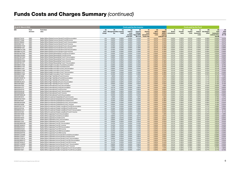| As at 31 March 2022          |                            |                                                                                                            |                        |                                        |                | Costs paid by the investor                         |                                                        |                                                        | <b>Costs paid by the Fund</b>            |                                             |                                                       |                                 |                          |                                         |                                |                                                                 |                                           |
|------------------------------|----------------------------|------------------------------------------------------------------------------------------------------------|------------------------|----------------------------------------|----------------|----------------------------------------------------|--------------------------------------------------------|--------------------------------------------------------|------------------------------------------|---------------------------------------------|-------------------------------------------------------|---------------------------------|--------------------------|-----------------------------------------|--------------------------------|-----------------------------------------------------------------|-------------------------------------------|
| ISIN                         | Fund<br>structure          | <b>Fund share</b><br>class                                                                                 | (A)<br>Entry<br>charge | (B)<br>Management Other ongoing<br>fee | (C)<br>costs   | (D)<br>Indirect<br>costs<br>included<br>in the OCF | (E)<br>Ongoing<br>Charges<br>Figure (OCF)<br>$(B+C+D)$ | (F)<br>Gearing<br>costs<br>(Investment<br>Trusts only) | (G)<br>Other<br><b>Indirect</b><br>costs | (H)<br>PRIIPs/<br>ongoing<br>$costs(E+F+G)$ | - (I)<br><b>Broker</b><br><b>MiFID II</b> commissions | (J)<br><b>Transfer</b><br>taxes | (K)<br>Implicit<br>costs | (L)<br>Indirect<br>transaction<br>costs | (M)<br>Anti-dilution<br>offset | (N)<br><b>Total</b><br>transaction<br>costs (I+J+K+L<br>less M) | (O)<br><b>Total</b><br>Costs<br>$(H + N)$ |
| GB0005772479                 | <b>OEIC</b>                | Baillie Gifford Global Income Growth Fund B Accumulation                                                   | n/a                    | 0.50%                                  | 0.03%          | 0.00%                                              | 0.53%                                                  | n/a                                                    | 0.01%                                    | 0.54%                                       | 0.02%                                                 | 0.02%                           | $-0.01%$                 | 0.00%                                   | 0.06%                          | $-0.03%$                                                        | 0.51%                                     |
| GB0005772586                 | <b>OEIC</b>                | Baillie Gifford Global Income Growth Fund B Income                                                         | n/a                    | 0.50%                                  | 0.03%          | 0.00%                                              | 0.53%                                                  | n/a                                                    | 0.01%                                    | 0.54%                                       | 0.02%                                                 | 0.02%                           | $-0.01%$                 | 0.00%                                   | 0.06%                          | $-0.03%$                                                        | 0.51%                                     |
| GB0005786826                 | <b>OEIC</b>                | Baillie Gifford Global Income Growth Fund C Accumulation                                                   | n/a                    | 0.00%                                  | 0.03%          | 0.00%                                              | 0.03%                                                  | n/a                                                    | 0.01%                                    | 0.04%                                       | 0.02%                                                 | 0.02%                           | $-0.01%$                 | 0.00%                                   | 0.06%                          | $-0.03%$                                                        | 0.01%                                     |
| GB0005857122                 | OEIC                       | Baillie Gifford Global Income Growth Fund C Income                                                         | n/a                    | 0.00%                                  | 0.03%          | 0.00%                                              | 0.03%                                                  | n/a                                                    | 0.01%                                    | 0.04%                                       | 0.02%                                                 | 0.02%                           | $-0.01%$                 | 0.00%                                   | 0.06%                          | $-0.03%$                                                        | 0.01%                                     |
| GB00BK6KTH30                 | <b>OEIC</b>                | Baillie Gifford Global Income Growth Fund J Accumulation                                                   | n/a                    | 0.35%                                  | 0.03%          | 0.00%                                              | 0.38%                                                  | n/a                                                    | 0.01%                                    | 0.39%                                       | 0.02%                                                 | 0.02%                           | $-0.01%$                 | 0.00%                                   | 0.06%                          | $-0.03%$                                                        | 0.36%                                     |
| GB00BK6KTJ53                 | OEIC                       | Baillie Gifford Global Income Growth Fund J Income                                                         | n/a                    | 0.35%                                  | 0.03%          | 0.00%                                              | 0.38%                                                  | n/a                                                    | 0.01%                                    | 0.39%                                       | 0.02%                                                 | 0.02%                           | $-0.01%$                 | 0.00%                                   | 0.06%                          | $-0.03%$                                                        | 0.36%                                     |
| GB00BMTVLC68                 | <b>OEIC</b>                | Baillie Gifford Global Income Growth Fund P Accumulation                                                   | n/a                    | 0.45%                                  | 0.03%          | 0.00%                                              | 0.48%                                                  | n/a                                                    | 0.01%                                    | 0.49%                                       | 0.02%                                                 | 0.02%                           | $-0.01%$                 | 0.00%                                   | 0.06%                          | $-0.03%$                                                        | 0.46%                                     |
| GB00BMTVLD75                 | <b>OEIC</b><br>OEIC        | Baillie Gifford Global Income Growth Fund P Income                                                         | n/a                    | 0.45%                                  | 0.03%          | 0.00%                                              | 0.48%                                                  | n/a                                                    | 0.01%                                    | 0.49%                                       | 0.02%                                                 | 0.02%                           | $-0.01%$                 | 0.00%                                   | 0.06%                          | $-0.03%$                                                        | 0.46%                                     |
| GB00BYNK7G95<br>GB00BDDY6H83 | OEIC                       | Baillie Gifford Global Stewardship Fund B Accumulation<br>Baillie Gifford Global Stewardship Fund B Income | n/a                    | 0.50%<br>0.50%                         | 0.03%<br>0.02% | 0.00%<br>0.00%                                     | 0.53%<br>0.52%                                         | n/a                                                    | 0.00%<br>0.00%                           | 0.53%<br>0.52%                              | 0.01%                                                 | 0.02%<br>0.02%                  | 0.02%                    | 0.00%                                   | 0.03%<br>0.03%                 | 0.02%<br>0.02%                                                  | 0.55%<br>0.54%                            |
| GB00BYNK7H03                 | OEIC                       | Baillie Gifford Global Stewardship Fund C Accumulation                                                     | n/a<br>n/a             | 0.00%                                  | 0.03%          | 0.00%                                              | 0.03%                                                  | n/a<br>n/a                                             | 0.00%                                    | 0.03%                                       | 0.01%<br>0.01%                                        | 0.02%                           | 0.02%<br>0.02%           | 0.00%<br>0.00%                          | 0.03%                          | 0.02%                                                           | 0.05%                                     |
| GB00BK6KVP51                 | OEIC                       | Baillie Gifford Global Stewardship Fund J Accumulation                                                     | n/a                    | 0.35%                                  | 0.02%          | 0.00%                                              | 0.37%                                                  | n/a                                                    | 0.00%                                    | 0.37%                                       | 0.01%                                                 | 0.02%                           | 0.02%                    | 0.00%                                   | 0.03%                          | 0.02%                                                           | 0.39%                                     |
| GB00BK6KVQ68                 | OEIC                       | Baillie Gifford Global Stewardship Fund J Income                                                           | n/a                    | 0.35%                                  | 0.03%          | 0.00%                                              | 0.38%                                                  | n/a                                                    | 0.00%                                    | 0.38%                                       | 0.01%                                                 | 0.02%                           | 0.02%                    | 0.00%                                   | 0.03%                          | 0.02%                                                           | 0.40%                                     |
| GB00BYNK7J27                 | OEIC                       | Baillie Gifford Global Stewardship Fund Y Accumulation                                                     | n/a                    | 0.43%                                  | 0.03%          | 0.00%                                              | 0.46%                                                  | n/a                                                    | 0.00%                                    | 0.46%                                       | 0.01%                                                 | 0.02%                           | 0.02%                    | 0.00%                                   | 0.03%                          | 0.02%                                                           | 0.48%                                     |
| GB00BMVLY038                 | OEIC                       | Baillie Gifford Health Innovation Fund B Accumulation                                                      | n/a                    | 0.50%                                  | 0.03%          | 0.00%                                              | 0.53%                                                  | n/a                                                    | 0.00%                                    | 0.53%                                       | 0.01%                                                 | 0.00%                           | 0.22%                    | 0.00%                                   | 0.02%                          | 0.21%                                                           | 0.74%                                     |
| GB00BMVLY145                 | <b>OEIC</b>                | Baillie Gifford Health Innovation Fund B Income                                                            | n/a                    | 0.50%                                  | 0.03%          | 0.00%                                              | 0.53%                                                  | n/a                                                    | 0.00%                                    | 0.53%                                       | 0.01%                                                 | 0.00%                           | 0.22%                    | 0.00%                                   | 0.02%                          | 0.21%                                                           | 0.74%                                     |
| GB00BMVLY251                 | OEIC                       | Baillie Gifford Health Innovation Fund C Accumulation                                                      | n/a                    | 0.00%                                  | 0.04%          | 0.00%                                              | 0.04%                                                  | n/a                                                    | 0.00%                                    | 0.04%                                       | 0.01%                                                 | 0.00%                           | 0.22%                    | 0.00%                                   | 0.02%                          | 0.21%                                                           | 0.25%                                     |
| GB00BMVLY368                 | <b>OEIC</b>                | Baillie Gifford Health Innovation Fund C Income                                                            | n/a                    | 0.00%                                  | 0.04%          | 0.00%                                              | 0.04%                                                  | n/a                                                    | 0.00%                                    | 0.04%                                       | 0.01%                                                 | 0.00%                           | 0.22%                    | 0.00%                                   | 0.02%                          | 0.21%                                                           | 0.25%                                     |
| GB00BMVLY475                 | <b>OEIC</b>                | Baillie Gifford Health Innovation Fund Y Accumulation                                                      | n/a                    | 0.25%                                  | 0.03%          | 0.00%                                              | 0.28%                                                  | n/a                                                    | 0.00%                                    | 0.28%                                       | 0.01%                                                 | 0.00%                           | 0.22%                    | 0.00%                                   | 0.02%                          | 0.21%                                                           | 0.49%                                     |
| GB00BMVLY582                 | <b>OEIC</b>                | Baillie Gifford Health Innovation Fund Y Income                                                            | n/a                    | 0.25%                                  | 0.04%          | 0.00%                                              | 0.29%                                                  | n/a                                                    | 0.00%                                    | 0.29%                                       | 0.01%                                                 | 0.00%                           | 0.22%                    | 0.00%                                   | 0.02%                          | 0.21%                                                           | 0.50%                                     |
| GB0030816606                 | <b>OEIC</b>                | Baillie Gifford High Yield Bond Fund A Income                                                              | n/a                    | 1.00%                                  | 0.02%          | 0.00%                                              | 1.02%                                                  | n/a                                                    | 0.00%                                    | 1.02%                                       | 0.00%                                                 | 0.00%                           | 0.24%                    | 0.00%                                   | 0.11%                          | 0.13%                                                           | 1.15%                                     |
| GB00B1W0GF10                 | <b>OEIC</b>                | Baillie Gifford High Yield Bond Fund B Accumulation                                                        | n/a                    | 0.35%                                  | 0.02%          | 0.00%                                              | 0.37%                                                  | n/a                                                    | 0.00%                                    | 0.37%                                       | 0.00%                                                 | 0.00%                           | 0.24%                    | 0.00%                                   | 0.11%                          | 0.13%                                                           | 0.50%                                     |
| GB0030816713                 | OEIC                       | Baillie Gifford High Yield Bond Fund B Income                                                              | n/a                    | 0.35%                                  | 0.02%          | 0.00%                                              | 0.37%                                                  | n/a                                                    | 0.00%                                    | 0.37%                                       | 0.00%                                                 | 0.00%                           | 0.24%                    | 0.00%                                   | 0.11%                          | 0.13%                                                           | 0.50%                                     |
| GB00B03DJ643                 | <b>OEIC</b>                | Baillie Gifford High Yield Bond Fund C Accumulation                                                        | n/a                    | 0.00%                                  | 0.02%          | 0.00%                                              | 0.02%                                                  | n/a                                                    | 0.00%                                    | 0.02%                                       | 0.00%                                                 | 0.00%                           | 0.24%                    | 0.00%                                   | 0.11%                          | 0.13%                                                           | 0.15%                                     |
| GB0030816820                 | <b>OEIC</b>                | Baillie Gifford High Yield Bond Fund C Income                                                              | n/a                    | 0.00%                                  | 0.02%          | 0.00%                                              | 0.02%                                                  | n/a                                                    | 0.00%                                    | 0.02%                                       | 0.00%                                                 | 0.00%                           | 0.24%                    | 0.00%                                   | 0.11%                          | 0.13%                                                           | 0.15%                                     |
| GB0005937932                 | OEIC                       | Baillie Gifford International Fund A Accumulation                                                          | n/a                    | 1.42%                                  | 0.03%          | 0.00%                                              | 1.45%                                                  | n/a                                                    | 0.00%                                    | 1.45%                                       | 0.02%                                                 | 0.01%                           | 0.03%                    | 0.00%                                   | 0.03%                          | 0.03%                                                           | 1.48%                                     |
| GB0005941272                 | OEIC                       | Baillie Gifford International Fund B Accumulation                                                          | n/a                    | 0.57%                                  | 0.03%          | 0.00%                                              | 0.60%                                                  | n/a                                                    | 0.00%                                    | 0.60%                                       | 0.02%                                                 | 0.01%                           | 0.03%                    | 0.00%                                   | 0.03%                          | 0.03%                                                           | 0.63%                                     |
| GB0005940316                 | <b>OEIC</b>                | Baillie Gifford International Fund B Income                                                                | n/a                    | 0.57%                                  | 0.03%          | 0.00%                                              | 0.60%                                                  | n/a                                                    | 0.00%                                    | 0.60%                                       | 0.02%                                                 | 0.01%                           | 0.03%                    | 0.00%                                   | 0.03%                          | 0.03%                                                           | 0.63%                                     |
| GB0005946446                 | <b>OEIC</b>                | Baillie Gifford International Fund C Accumulation                                                          | n/a                    | 0.00%                                  | 0.02%          | 0.00%                                              | 0.02%                                                  | n/a                                                    | 0.00%                                    | 0.02%                                       | 0.02%                                                 | 0.01%                           | 0.03%                    | 0.00%                                   | 0.03%                          | 0.03%                                                           | 0.05%                                     |
| GB0005936298                 | <b>OEIC</b>                | Baillie Gifford International Fund C Income                                                                | n/a                    | 0.00%                                  | 0.02%          | 0.00%                                              | 0.02%                                                  | n/a                                                    | 0.00%                                    | 0.02%                                       | 0.02%                                                 | 0.01%                           | 0.03%                    | 0.00%                                   | 0.03%                          | 0.03%                                                           | 0.05%                                     |
| GB00BF8GML92                 | <b>OEIC</b>                | Baillie Gifford International Fund G Accumulation                                                          | n/a                    | 0.50%                                  | 0.03%          | 0.00%                                              | 0.53%                                                  | n/a                                                    | 0.00%                                    | 0.53%                                       | 0.02%                                                 | 0.01%                           | 0.03%                    | 0.00%                                   | 0.03%                          | 0.03%                                                           | 0.56%                                     |
| GB0030816374                 | <b>OEIC</b>                | Baillie Gifford Investment Grade Bond Fund A Income                                                        | n/a                    | 1.00%                                  | 0.02%          | 0.00%                                              | $1.02\%$                                               | n/a                                                    | 0.00%                                    | 1.02%                                       | 0.00%                                                 | 0.00%                           | 0.25%                    | 0.00%                                   | 0.06%                          | 0.19%                                                           | 1.21%                                     |
| GB00BYQCYS34                 | <b>OEIC</b>                | Baillie Gifford Investment Grade Bond Fund B Accumulation                                                  | n/a                    | 0.25%                                  | 0.03%          | 0.00%                                              | 0.28%                                                  | n/a                                                    | 0.00%                                    | 0.28%                                       | 0.00%                                                 | 0.00%                           | 0.25%                    | 0.00%                                   | 0.06%                          | 0.19%                                                           | 0.47%                                     |
| GB0030816481                 | <b>OEIC</b>                | Baillie Gifford Investment Grade Bond Fund B Income                                                        | n/a                    | 0.25%                                  | 0.03%          | 0.00%                                              | 0.28%                                                  | n/a                                                    | 0.00%                                    | 0.28%                                       | 0.00%                                                 | 0.00%                           | 0.25%                    | 0.00%                                   | 0.06%                          | 0.19%                                                           | 0.47%                                     |
| GB00B03DHZ99                 | OEIC                       | Baillie Gifford Investment Grade Bond Fund C Accumulation                                                  | n/a                    | 0.00%                                  | 0.03%          | 0.00%                                              | 0.03%                                                  | n/a                                                    | 0.00%                                    | 0.03%                                       | 0.00%                                                 | 0.00%                           | 0.25%                    | 0.00%                                   | 0.06%                          | 0.19%                                                           | 0.22%                                     |
| GB0030816598                 | OEIC                       | Baillie Gifford Investment Grade Bond Fund C Income                                                        | n/a                    | 0.00%                                  | 0.03%          | 0.00%                                              | 0.03%                                                  | n/a                                                    | 0.00%                                    | 0.03%                                       | 0.00%                                                 | 0.00%                           | 0.25%                    | 0.00%                                   | 0.06%                          | 0.19%                                                           | 0.22%                                     |
| GB00BYQCYT41                 | <b>OEIC</b>                | Baillie Gifford Investment Grade Long Bond Fund B Accumulation                                             | n/a                    | 0.25%                                  | 0.03%          | 0.00%                                              | 0.28%                                                  | n/a                                                    | 0.00%                                    | 0.28%                                       | 0.00%                                                 | 0.00%                           | 0.29%                    | 0.00%                                   | 0.21%                          | 0.08%                                                           | 0.36%                                     |
| GB0032501818                 | OEIC                       | Baillie Gifford Investment Grade Long Bond Fund B Income                                                   | n/a                    | 0.25%                                  | 0.03%          | 0.00%                                              | 0.28%                                                  | n/a                                                    | 0.00%                                    | 0.28%                                       | 0.00%                                                 | 0.00%                           | 0.29%                    | 0.00%                                   | 0.21%                          | 0.08%                                                           | 0.36%                                     |
| GB00B03DJ312                 | OEIC                       | Baillie Gifford Investment Grade Long Bond Fund C Accumulation                                             | n/a                    | 0.00%                                  | 0.03%          | 0.00%                                              | 0.03%                                                  | n/a                                                    | 0.00%                                    | 0.03%                                       | 0.00%                                                 | 0.00%                           | 0.29%                    | 0.00%                                   | 0.21%                          | 0.08%                                                           | 0.11%                                     |
| GB0032501925                 | <b>OEIC</b>                | Baillie Gifford Investment Grade Long Bond Fund C Income                                                   | n/a                    | 0.00%                                  | 0.03%          | 0.00%                                              | 0.03%                                                  | n/a                                                    | 0.00%                                    | 0.03%                                       | 0.00%                                                 | 0.00%                           | 0.29%                    | 0.00%                                   | 0.21%                          | 0.08%                                                           | 0.11%                                     |
| GB0006010838                 | <b>OEIC</b>                | Baillie Gifford Japanese Fund A Accumulation                                                               | n/a                    | 1.45%                                  | 0.01%          | 0.00%                                              | 1.46%                                                  | n/a                                                    | 0.00%                                    | 1.46%                                       | 0.01%                                                 | 0.00%                           | 0.03%                    | 0.00%                                   | 0.02%                          | 0.02%                                                           | 1.48%                                     |
| GB0006011133                 | OEIC                       | Baillie Gifford Japanese Fund B Accumulation                                                               | n/a                    | 0.60%                                  | $0.01\%$       | $0.00\%$                                           | 0.61%                                                  | n/a                                                    | $0.00\%$                                 | 0.61%                                       | 0.01%                                                 | 0.00%                           | 0.03%                    | 0.00%                                   | 0.02%                          | 0.02%                                                           | 0.63%                                     |
| GB0006010945                 | <b>OEIC</b>                | Baillie Gifford Japanese Fund B Income                                                                     | n/a                    | 0.60%                                  | 0.01%          | 0.00%                                              | 0.61%                                                  | n/a                                                    | 0.00%                                    | 0.61%                                       | 0.01%                                                 | 0.00%                           | 0.03%                    | 0.00%                                   | 0.02%                          | 0.02%                                                           | 0.63%                                     |
| GB0006012651                 | <b>OEIC</b>                | Baillie Gifford Japanese Fund C Accumulation                                                               | n/a                    | 0.00%                                  | 0.02%          | 0.00%                                              | 0.02%                                                  | n/a                                                    | 0.00%                                    | 0.02%                                       | 0.01%                                                 | 0.00%                           | 0.03%                    | 0.00%                                   | 0.02%                          | 0.02%                                                           | 0.04%                                     |
| GB0006011240                 | <b>OEIC</b>                | Baillie Gifford Japanese Fund C Income                                                                     | n/a                    | 0.00%                                  | 0.02%          | 0.00%                                              | 0.02%                                                  | n/a                                                    | 0.00%                                    | 0.02%                                       | 0.01%                                                 | 0.00%                           | 0.03%                    | 0.00%                                   | 0.02%                          | 0.02%                                                           | 0.04%                                     |
| GB00BD9MNV95                 | <b>OEIC</b>                | Baillie Gifford Japanese Fund W1 Accumulation                                                              | n/a                    | 0.42%                                  | 0.01%          | 0.00%                                              | 0.43%                                                  | n/a                                                    | 0.00%                                    | 0.43%                                       | 0.01%                                                 | 0.00%                           | 0.03%                    | 0.00%                                   | 0.02%                          | 0.02%                                                           | 0.45%                                     |
| GB00BFWK8H51                 | OEIC                       | Baillie Gifford Japanese Fund W1 Income                                                                    | n/a                    | 0.42%                                  | 0.01%          | 0.00%                                              | 0.43%                                                  | n/a                                                    | 0.00%                                    | 0.43%                                       | 0.01%                                                 | 0.00%                           | 0.03%                    | 0.00%                                   | 0.02%                          | 0.02%                                                           | 0.45%                                     |
| GB00BK6H5218                 | <b>OEIC</b>                | Baillie Gifford Japanese Fund W3 Accumulation                                                              | n/a                    | 0.43%                                  | 0.01%          | 0.00%                                              | 0.44%                                                  | n/a                                                    | 0.00%                                    | 0.44%                                       | 0.01%                                                 | 0.00%                           | 0.03%                    | 0.00%                                   | 0.02%                          | 0.02%                                                           | 0.46%                                     |
| GB00BK6H5325<br>GB00BGGKB023 | <b>OEIC</b><br><b>OEIC</b> | Baillie Gifford Japanese Fund W3 Income<br>Baillie Gifford Japanese Fund W6 Accumulation                   | n/a                    | 0.43%                                  | 0.01%          | 0.00%                                              | 0.44%                                                  | n/a                                                    | 0.00%                                    | 0.44%                                       | 0.01%                                                 | 0.00%                           | 0.03%                    | 0.00%                                   | 0.02%                          | 0.02%                                                           | 0.46%                                     |
|                              |                            |                                                                                                            | n/a                    | 0.42%                                  | 0.02%          | 0.00%                                              | 0.44%                                                  | n/a                                                    | 0.00%                                    | 0.44%                                       | 0.01%                                                 | 0.00%                           | 0.03%                    | 0.00%                                   | 0.02%                          | 0.02%                                                           | 0.46%                                     |
| GB00BGGK0T49<br>GB00BYZJQH88 | <b>OEIC</b><br>OEIC        | Baillie Gifford Japanese Fund W6 Income<br>Baillie Gifford Japanese Income Growth Fund B Accumulation      | n/a<br>n/a             | 0.42%<br>0.60%                         | 0.02%<br>0.02% | 0.00%<br>0.00%                                     | 0.44%<br>0.62%                                         | n/a<br>n/a                                             | 0.00%<br>0.00%                           | 0.44%<br>0.62%                              | 0.01%<br>0.01%                                        | 0.00%<br>0.00%                  | 0.03%<br>$-0.08%$        | 0.00%<br>0.00%                          | 0.02%<br>0.02%                 | 0.02%<br>$-0.09%$                                               | 0.46%<br>0.53%                            |
| GB00BYZJQG71                 | <b>OEIC</b>                | Baillie Gifford Japanese Income Growth Fund B Income                                                       | n/a                    | 0.60%                                  | 0.02%          | 0.00%                                              | 0.62%                                                  | n/a                                                    | 0.00%                                    | 0.62%                                       | 0.01%                                                 | 0.00%                           | $-0.08%$                 | 0.00%                                   | 0.02%                          | $-0.09%$                                                        | 0.53%                                     |
| GB00BYZJQK18                 | <b>OEIC</b>                | Baillie Gifford Japanese Income Growth Fund C Accumulation                                                 | n/a                    | 0.00%                                  | 0.02%          | 0.00%                                              | 0.02%                                                  | n/a                                                    | 0.00%                                    | 0.02%                                       | 0.01%                                                 | 0.00%                           | $-0.08%$                 | 0.00%                                   | 0.02%                          | $-0.09%$                                                        | $-0.07\%$                                 |
| GB00BD9MNY27                 | <b>OEIC</b>                | Baillie Gifford Japanese Income Growth Fund W4 Accumulation                                                | n/a                    | 0.41%                                  | 0.03%          | 0.00%                                              | 0.44%                                                  | n/a                                                    | 0.00%                                    | 0.44%                                       | 0.01%                                                 | 0.00%                           | $-0.08%$                 | 0.00%                                   | 0.02%                          | $-0.09%$                                                        | 0.35%                                     |
| GB00BFWK8L97                 | <b>OEIC</b>                | Baillie Gifford Japanese Income Growth Fund W4 Income                                                      | n/a                    | 0.41%                                  | 0.03%          | 0.00%                                              | 0.44%                                                  | n/a                                                    | 0.00%                                    | 0.44%                                       | 0.01%                                                 | 0.00%                           | $-0.08%$                 | 0.00%                                   | 0.02%                          | $-0.09%$                                                        | 0.35%                                     |
| GB00BYZJQM32                 | <b>OEIC</b>                | Baillie Gifford Japanese Income Growth Fund Y Accumulation                                                 | n/a                    | 0.60%                                  | 0.02%          | 0.00%                                              | 0.62%                                                  | n/a                                                    | 0.00%                                    | 0.62%                                       | 0.01%                                                 | 0.00%                           | $-0.08%$                 | 0.00%                                   | 0.02%                          | $-0.09%$                                                        | 0.53%                                     |
| GB00BYZJQL25                 | <b>OEIC</b>                | Baillie Gifford Japanese Income Growth Fund Y Income                                                       | n/a                    | 0.60%                                  | 0.02%          | 0.00%                                              | 0.62%                                                  | n/a                                                    | 0.00%                                    | 0.62%                                       | 0.01%                                                 | 0.00%                           | $-0.08%$                 | 0.00%                                   | 0.02%                          | $-0.09%$                                                        | 0.53%                                     |
| GB0006014475                 | <b>OEIC</b>                | Baillie Gifford Japanese Smaller Companies Fund A Accumulation                                             | n/a                    | 1.50%                                  | 0.01%          | 0.00%                                              | 1.51%                                                  | n/a                                                    | 0.00%                                    | 1.51%                                       | 0.02%                                                 | 0.00%                           | 0.15%                    | 0.00%                                   | 0.07%                          | 0.11%                                                           | 1.62%                                     |
| GB0006014921                 | <b>OEIC</b>                | Baillie Gifford Japanese Smaller Companies Fund B Accumulation                                             | n/a                    | 0.60%                                  | 0.02%          | 0.00%                                              | 0.62%                                                  | n/a                                                    | 0.00%                                    | 0.62%                                       | 0.02%                                                 | 0.00%                           | 0.15%                    | 0.00%                                   | 0.07%                          | 0.11%                                                           | 0.73%                                     |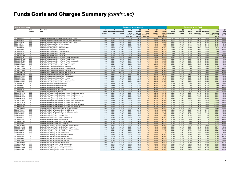| <b>As at 31 March 2022</b>   |                     |                                                                                                                                        |                        |                                        |                | <b>Costs paid by the investor</b>                  |                                                        |                                                        | <b>Costs paid by the Fund</b>            |                                                                |                                       |                                 |                          |                                         |                                |                                                                             |                                           |
|------------------------------|---------------------|----------------------------------------------------------------------------------------------------------------------------------------|------------------------|----------------------------------------|----------------|----------------------------------------------------|--------------------------------------------------------|--------------------------------------------------------|------------------------------------------|----------------------------------------------------------------|---------------------------------------|---------------------------------|--------------------------|-----------------------------------------|--------------------------------|-----------------------------------------------------------------------------|-------------------------------------------|
| ISIN                         | Fund<br>structure   | <b>Fund share</b><br>class                                                                                                             | (A)<br>Entry<br>charge | (B)<br>Management Other ongoing<br>fee | (C)<br>costs   | (D)<br>Indirect<br>costs<br>included<br>in the OCF | (E)<br>Ongoing<br>Charges<br>Figure (OCF)<br>$(B+C+D)$ | (F)<br>Gearing<br>costs<br>(Investment<br>Trusts only) | (G)<br>Other<br><b>Indirect</b><br>costs | (H)<br>PRIIPs/<br><b>MiFID II</b><br>ongoing<br>$costs(E+F+G)$ | - (1)<br><b>Broker</b><br>commissions | (J)<br><b>Transfer</b><br>taxes | (K)<br>Implicit<br>costs | (L)<br>Indirect<br>transaction<br>costs | (M)<br>Anti-dilution<br>offset | (N)<br><b>Total</b><br>transaction<br>costs (I+J+K+L<br>less <sub>M</sub> ) | (O)<br><b>Total</b><br>Costs<br>$(H + N)$ |
| GB0006014582                 | <b>OEIC</b>         | Baillie Gifford Japanese Smaller Companies Fund B Income                                                                               | n/a                    | 0.60%                                  | 0.02%          | 0.00%                                              | 0.62%                                                  | n/a                                                    | 0.00%                                    | 0.62%                                                          | 0.02%                                 | 0.00%                           | 0.15%                    | 0.00%                                   | 0.07%                          | 0.11%                                                                       | 0.73%                                     |
| GB0006015449                 | <b>OEIC</b>         | Baillie Gifford Japanese Smaller Companies Fund C Accumulation                                                                         | n/a                    | 0.00%                                  | 0.02%          | 0.00%                                              | 0.02%                                                  | n/a                                                    | 0.00%                                    | 0.02%                                                          | 0.02%                                 | 0.00%                           | 0.15%                    | 0.00%                                   | 0.07%                          | 0.11%                                                                       | 0.13%                                     |
| GB0006015332                 | <b>OEIC</b>         | Baillie Gifford Japanese Smaller Companies Fund C Income                                                                               | n/a                    | 0.00%                                  | 0.03%          | 0.00%                                              | 0.03%                                                  | n/a                                                    | 0.00%                                    | 0.03%                                                          | 0.02%                                 | 0.00%                           | 0.15%                    | 0.00%                                   | 0.07%                          | 0.11%                                                                       | 0.14%                                     |
| GB0006007891                 | OEIC                | Baillie Gifford Managed Fund A Accumulation                                                                                            | n/a                    | 1.50%                                  | 0.02%          | 0.00%                                              | 1.52%                                                  | n/a                                                    | 0.00%                                    | 1.52%                                                          | 0.01%                                 | 0.03%                           | 0.14%                    | 0.00%                                   | 0.04%                          | 0.15%                                                                       | 1.67%                                     |
| GB0006002397                 | <b>OEIC</b><br>OEIC | Baillie Gifford Managed Fund A Income                                                                                                  | n/a                    | 1.50%                                  | 0.03%          | 0.00%                                              | 1.53%                                                  | n/a                                                    | 0.00%                                    | 1.53%                                                          | 0.01%                                 | 0.03%                           | 0.14%                    | 0.00%                                   | 0.04%                          | 0.15%                                                                       | 1.68%<br>0.58%                            |
| GB0006010168                 | <b>OEIC</b>         | Baillie Gifford Managed Fund B Accumulation<br>Baillie Gifford Managed Fund B Income                                                   | n/a<br>n/a             | 0.40%<br>0.40%                         | 0.03%          | 0.00%<br>0.00%                                     | 0.43%<br>0.43%                                         | n/a<br>n/a                                             | 0.00%                                    | 0.43%<br>0.43%                                                 | 0.01%                                 | 0.03%<br>0.03%                  | 0.14%<br>0.14%           | 0.00%                                   | 0.04%<br>0.04%                 | 0.15%<br>0.15%                                                              | 0.58%                                     |
| GB0006007909<br>GB0006010614 | <b>OEIC</b>         | Baillie Gifford Managed Fund C Accumulation                                                                                            | n/a                    | 0.00%                                  | 0.03%<br>0.03% | 0.00%                                              | 0.03%                                                  | n/a                                                    | 0.00%<br>0.00%                           | 0.03%                                                          | 0.01%<br>0.01%                        | 0.03%                           | 0.14%                    | 0.00%<br>0.00%                          | 0.04%                          | 0.15%                                                                       | 0.18%                                     |
| GB0006010499                 | <b>OEIC</b>         | Baillie Gifford Managed Fund C Income                                                                                                  | n/a                    | 0.00%                                  | 0.03%          | 0.00%                                              | 0.03%                                                  | n/a                                                    | 0.00%                                    | 0.03%                                                          | 0.01%                                 | 0.03%                           | 0.14%                    | 0.00%                                   | 0.04%                          | 0.15%                                                                       | 0.18%                                     |
| GB00BFX4TG20                 | OEIC                | Baillie Gifford Managed Fund K Income                                                                                                  | n/a                    | 0.32%                                  | 0.03%          | 0.00%                                              | 0.35%                                                  | n/a                                                    | 0.00%                                    | 0.35%                                                          | 0.01%                                 | 0.03%                           | 0.14%                    | 0.00%                                   | 0.04%                          | 0.15%                                                                       | 0.50%                                     |
| GB00BKMQ7N78                 | OEIC                | Baillie Gifford Multi Asset Growth Feeder Fund B Accumulation                                                                          | n/a                    | 0.50%                                  | 0.32%          | 0.07%                                              | 0.89%                                                  | n/a                                                    | 0.00%                                    | 0.89%                                                          | 0.00%                                 | 0.00%                           | 0.00%                    | 0.51%                                   | 0.00%                          | 0.51%                                                                       | 1.40%                                     |
| GB00BKMQ7M61                 | <b>OEIC</b>         | Baillie Gifford Multi Asset Growth Feeder Fund B Income                                                                                | n/a                    | 0.50%                                  | 0.32%          | 0.07%                                              | 0.89%                                                  | n/a                                                    | 0.00%                                    | 0.89%                                                          | 0.00%                                 | 0.00%                           | 0.00%                    | 0.51%                                   | 0.00%                          | 0.51%                                                                       | 1.40%                                     |
| GB00BKMQ7Q00                 | OEIC                | Baillie Gifford Multi Asset Growth Feeder Fund C Accumulation                                                                          | n/a                    | 0.00%                                  | 0.32%          | 0.07%                                              | 0.39%                                                  | n/a                                                    | 0.00%                                    | 0.39%                                                          | 0.00%                                 | 0.00%                           | 0.00%                    | 0.51%                                   | 0.00%                          | 0.51%                                                                       | 0.90%                                     |
| GB00BKMQ7P92                 | OEIC                | Baillie Gifford Multi Asset Growth Feeder Fund C Income                                                                                | n/a                    | 0.00%                                  | 0.32%          | 0.07%                                              | 0.39%                                                  | n/a                                                    | 0.00%                                    | 0.39%                                                          | 0.00%                                 | 0.00%                           | 0.00%                    | 0.51%                                   | 0.00%                          | 0.51%                                                                       | 0.90%                                     |
| GB00BFXY2964                 | <b>OEIC</b>         | Baillie Gifford Multi Asset Income Fund B Accumulation                                                                                 | n/a                    | 0.50%                                  | 0.07%          | 0.00%                                              | 0.57%                                                  | n/a                                                    | 0.19%                                    | 0.76%                                                          | 0.01%                                 | 0.02%                           | 0.28%                    | 0.05%                                   | 0.08%                          | 0.29%                                                                       | 1.05%                                     |
| GB00BFXY2857                 | <b>OEIC</b>         | Baillie Gifford Multi Asset Income Fund B Income                                                                                       | n/a                    | 0.50%                                  | 0.07%          | 0.00%                                              | 0.57%                                                  | n/a                                                    | 0.19%                                    | 0.76%                                                          | 0.01%                                 | 0.02%                           | 0.28%                    | 0.05%                                   | 0.08%                          | 0.29%                                                                       | 1.05%                                     |
| GB00BFXY2C93                 | <b>OEIC</b>         | Baillie Gifford Multi Asset Income Fund C Accumulation                                                                                 | n/a                    | 0.00%                                  | 0.06%          | 0.00%                                              | 0.06%                                                  | n/a                                                    | 0.19%                                    | 0.25%                                                          | 0.01%                                 | 0.02%                           | 0.28%                    | 0.05%                                   | 0.08%                          | 0.29%                                                                       | 0.54%                                     |
| GB00BFXY2B86                 | OEIC                | Baillie Gifford Multi Asset Income Fund C Income                                                                                       | n/a                    | 0.00%                                  | 0.07%          | 0.00%                                              | 0.07%                                                  | n/a                                                    | 0.19%                                    | 0.26%                                                          | 0.01%                                 | 0.02%                           | 0.28%                    | 0.05%                                   | 0.08%                          | 0.29%                                                                       | 0.55%                                     |
| GB00BKSG5T31                 | OEIC                | Baillie Gifford Multi Asset Income Fund H Accumulation                                                                                 | n/a                    | 0.25%                                  | $-0.14%$       | 0.00%                                              | 0.11%                                                  | n/a                                                    | 0.19%                                    | 0.30%                                                          | 0.01%                                 | 0.02%                           | 0.28%                    | 0.05%                                   | 0.08%                          | 0.29%                                                                       | 0.59%                                     |
| GB00BKSG5V52                 | <b>OEIC</b>         | Baillie Gifford Multi Asset Income Fund H Income                                                                                       | n/a                    | 0.25%                                  | $-0.14%$       | 0.00%                                              | 0.11%                                                  | n/a                                                    | 0.19%                                    | 0.30%                                                          | 0.01%                                 | 0.02%                           | 0.28%                    | 0.05%                                   | 0.08%                          | 0.29%                                                                       | 0.59%                                     |
| GB00BK6KVK07                 | <b>OEIC</b>         | Baillie Gifford Multi Asset Income Fund J Accumulation                                                                                 | n/a                    | 0.35%                                  | 0.07%          | 0.00%                                              | 0.42%                                                  | n/a                                                    | 0.19%                                    | 0.61%                                                          | 0.01%                                 | 0.02%                           | 0.28%                    | 0.05%                                   | 0.08%                          | 0.29%                                                                       | 0.90%                                     |
| GB00BK6KVL14                 | OEIC                | Baillie Gifford Multi Asset Income Fund J Income                                                                                       | n/a                    | 0.35%                                  | 0.07%          | 0.00%                                              | 0.42%                                                  | n/a                                                    | 0.19%                                    | 0.61%                                                          | 0.01%                                 | 0.02%                           | 0.28%                    | 0.05%                                   | 0.08%                          | 0.29%                                                                       | 0.90%                                     |
| GB00BFXY2D01                 | <b>OEIC</b>         | Baillie Gifford Multi Asset Income Fund P Accumulation                                                                                 | n/a                    | 0.35%                                  | 0.06%          | 0.00%                                              | 0.41%                                                  | n/a                                                    | 0.19%                                    | 0.60%                                                          | 0.01%                                 | 0.02%                           | 0.28%                    | 0.05%                                   | 0.08%                          | 0.29%                                                                       | 0.89%                                     |
| GB00BFXY2F25                 | <b>OEIC</b>         | Baillie Gifford Multi Asset Income Fund P Income                                                                                       | n/a                    | 0.35%                                  | 0.06%          | 0.00%                                              | 0.41%                                                  | n/a                                                    | 0.19%                                    | 0.60%                                                          | 0.01%                                 | 0.02%                           | 0.28%                    | 0.05%                                   | 0.08%                          | 0.29%                                                                       | 0.89%                                     |
| GB0006063126                 | <b>OEIC</b>         | Baillie Gifford Pacific Fund A Accumulation                                                                                            | n/a                    | 1.50%                                  | 0.06%          | 0.00%                                              | 1.56%                                                  | n/a                                                    | 0.05%                                    | 1.61%                                                          | 0.05%                                 | 0.05%                           | 0.25%                    | 0.00%                                   | 0.17%                          | 0.18%                                                                       | 1.79%                                     |
| GB0006063233                 | OEIC                | Baillie Gifford Pacific Fund B Accumulation                                                                                            | n/a                    | 0.65%                                  | 0.05%          | 0.00%                                              | 0.70%                                                  | n/a                                                    | 0.05%                                    | 0.75%                                                          | 0.05%                                 | 0.05%                           | 0.25%                    | 0.00%                                   | 0.17%                          | 0.18%                                                                       | 0.93%                                     |
| GB0006063340                 | <b>OEIC</b>         | Baillie Gifford Pacific Fund B Income                                                                                                  | n/a                    | 0.65%                                  | 0.05%          | 0.00%                                              | 0.70%                                                  | n/a                                                    | 0.05%                                    | 0.75%                                                          | 0.05%                                 | 0.05%                           | 0.25%                    | 0.00%                                   | 0.17%                          | 0.18%                                                                       | 0.93%                                     |
| GB0006064199                 | <b>OEIC</b>         | Baillie Gifford Pacific Fund C Accumulation                                                                                            | n/a                    | 0.00%                                  | 0.06%          | 0.00%                                              | 0.06%                                                  | n/a                                                    | 0.05%                                    | 0.11%                                                          | 0.05%                                 | 0.05%                           | 0.25%                    | 0.00%                                   | 0.17%                          | 0.18%                                                                       | 0.29%                                     |
| GB0006063456                 | <b>OEIC</b>         | Baillie Gifford Pacific Fund C Income                                                                                                  | n/a                    | 0.00%                                  | 0.06%          | 0.00%                                              | 0.06%                                                  | n/a                                                    | 0.05%                                    | 0.11%                                                          | 0.05%                                 | 0.05%                           | 0.25%                    | 0.00%                                   | 0.17%                          | 0.18%                                                                       | 0.29%                                     |
| GB00BFM4CT76<br>GB00BFM4N494 | <b>OEIC</b><br>OEIC | Baillie Gifford Responsible Global Equity Income Fund B Accumulation<br>Baillie Gifford Responsible Global Equity Income Fund B Income | n/a<br>n/a             | 0.50%<br>0.50%                         | 0.03%<br>0.03% | 0.00%<br>0.00%                                     | 0.53%<br>0.53%                                         | n/a<br>n/a                                             | 0.01%<br>0.01%                           | 0.54%<br>0.54%                                                 | 0.02%<br>0.02%                        | 0.04%<br>0.04%                  | 0.00%<br>0.00%           | 0.00%<br>0.00%                          | 0.07%<br>0.07%                 | $-0.01%$<br>$-0.01%$                                                        | 0.53%<br>0.53%                            |
| GB00BFM4N502                 | <b>OEIC</b>         | Baillie Gifford Responsible Global Equity Income Fund C Accumulation                                                                   | n/a                    | 0.00%                                  | 0.03%          | 0.00%                                              | 0.03%                                                  | n/a                                                    | 0.01%                                    | 0.04%                                                          | 0.02%                                 | 0.04%                           | 0.00%                    | 0.00%                                   | 0.07%                          | $-0.01%$                                                                    | 0.03%                                     |
| GB00BFM4N619                 | <b>OEIC</b>         | Baillie Gifford Responsible Global Equity Income Fund C Income                                                                         | n/a                    | 0.00%                                  | 0.03%          | 0.00%                                              | 0.03%                                                  | n/a                                                    | 0.01%                                    | 0.04%                                                          | 0.02%                                 | 0.04%                           | 0.00%                    | 0.00%                                   | 0.07%                          | $-0.01%$                                                                    | 0.03%                                     |
| GB00BK6KVM21                 | <b>OEIC</b>         | Baillie Gifford Responsible Global Equity Income Fund J Accumulation                                                                   | n/a                    | 0.35%                                  | 0.03%          | 0.00%                                              | 0.38%                                                  | n/a                                                    | 0.01%                                    | 0.39%                                                          | 0.02%                                 | 0.04%                           | 0.00%                    | 0.00%                                   | 0.07%                          | $-0.01%$                                                                    | 0.38%                                     |
| GB00BK6KVN38                 | OEIC                | Baillie Gifford Responsible Global Equity Income Fund J Income                                                                         | n/a                    | 0.35%                                  | 0.03%          | 0.00%                                              | 0.38%                                                  | n/a                                                    | 0.01%                                    | 0.39%                                                          | 0.02%                                 | 0.04%                           | 0.00%                    | 0.00%                                   | 0.07%                          | $-0.01%$                                                                    | 0.38%                                     |
| GB00BMTVLF99                 | OEIC                | Baillie Gifford Responsible Global Equity Income Fund P Accumulation                                                                   | n/a                    | 0.45%                                  | 0.03%          | 0.00%                                              | 0.48%                                                  | n/a                                                    | 0.01%                                    | 0.49%                                                          | 0.02%                                 | 0.04%                           | 0.00%                    | 0.00%                                   | 0.07%                          | $-0.01%$                                                                    | 0.48%                                     |
| GB00BMTVLG07                 | OEIC                | Baillie Gifford Responsible Global Equity Income Fund P Income                                                                         | n/a                    | 0.45%                                  | 0.04%          | 0.00%                                              | 0.49%                                                  | n/a                                                    | 0.01%                                    | 0.50%                                                          | 0.02%                                 | 0.04%                           | 0.00%                    | 0.00%                                   | 0.07%                          | $-0.01%$                                                                    | 0.49%                                     |
| GB00BYM0D409                 | OEIC                | Baillie Gifford Sterling Aggregate Bond Fund B Accumulation                                                                            | n/a                    | 0.35%                                  | 0.04%          | 0.00%                                              | 0.39%                                                  | n/a                                                    | 0.00%                                    | 0.39%                                                          | 0.00%                                 | 0.00%                           | 0.28%                    | 0.00%                                   | 0.04%                          | 0.24%                                                                       | 0.63%                                     |
| GB00BYM0D391                 | OEIC                | Baillie Gifford Sterling Aggregate Bond Fund B Income                                                                                  | n/a                    | 0.35%                                  | 0.04%          | 0.00%                                              | 0.39%                                                  | n/a                                                    | 0.00%                                    | 0.39%                                                          | 0.00%                                 | 0.00%                           | 0.28%                    | 0.00%                                   | 0.04%                          | 0.24%                                                                       | 0.63%                                     |
| GB00BYM0DB70                 | <b>OEIC</b>         | Baillie Gifford Sterling Aggregate Bond Fund C Accumulation                                                                            | n/a                    | 0.00%                                  | 0.04%          | 0.00%                                              | 0.04%                                                  | n/a                                                    | 0.00%                                    | 0.04%                                                          | 0.00%                                 | 0.00%                           | 0.28%                    | 0.00%                                   | 0.04%                          | 0.24%                                                                       | 0.28%                                     |
| GB0005946776                 | <b>OEIC</b>         | Baillie Gifford Strategic Bond Fund A Accumulation                                                                                     | n/a                    | 1.00%                                  | 0.02%          | 0.00%                                              | 1.02%                                                  | n/a                                                    | 0.00%                                    | 1.02%                                                          | 0.00%                                 | 0.00%                           | 0.42%                    | 0.00%                                   | 0.11%                          | 0.32%                                                                       | 1.34%                                     |
| GB0005946669                 | OEIC                | Baillie Gifford Strategic Bond Fund A Income                                                                                           | n/a                    | 1.00%                                  | $0.02\%$       | $0.00\%$                                           | 1.02%                                                  | n/a                                                    | $0.00\%$                                 | 1.02%                                                          | 0.00%                                 | 0.00%                           | 0.42%                    | 0.00%                                   | 0.11%                          | 0.32%                                                                       | 1.34%                                     |
| GB0005947857                 | OEIC                | Baillie Gifford Strategic Bond Fund B Accumulation                                                                                     | n/a                    | 0.50%                                  | 0.02%          | 0.00%                                              | 0.52%                                                  | n/a                                                    | 0.00%                                    | 0.52%                                                          | 0.00%                                 | 0.00%                           | 0.42%                    | 0.00%                                   | 0.11%                          | 0.32%                                                                       | 0.84%                                     |
| GB0005947741                 | OEIC                | Baillie Gifford Strategic Bond Fund B Income                                                                                           | n/a                    | 0.50%                                  | 0.02%          | 0.00%                                              | 0.52%                                                  | n/a                                                    | 0.00%                                    | 0.52%                                                          | 0.00%                                 | 0.00%                           | 0.42%                    | 0.00%                                   | 0.11%                          | 0.32%                                                                       | 0.84%                                     |
| GB00B03DJL93                 | <b>OEIC</b>         | Baillie Gifford Strategic Bond Fund C Accumulation                                                                                     | n/a                    | 0.00%                                  | 0.03%          | 0.00%                                              | 0.03%                                                  | n/a                                                    | 0.00%                                    | 0.03%                                                          | 0.00%                                 | 0.00%                           | 0.42%                    | 0.00%                                   | 0.11%                          | 0.32%                                                                       | 0.35%                                     |
| GB0005948590                 | <b>OEIC</b>         | Baillie Gifford Strategic Bond Fund C Income                                                                                           | n/a                    | 0.00%                                  | 0.03%          | 0.00%                                              | 0.03%                                                  | n/a                                                    | 0.00%                                    | 0.03%                                                          | 0.00%                                 | 0.00%                           | 0.42%                    | 0.00%                                   | 0.11%                          | 0.32%                                                                       | 0.35%                                     |
| GB00BZ3G2B42                 | OEIC                | Baillie Gifford UK and Worldwide Equity Fund B Accumulation                                                                            | n/a                    | 0.45%                                  | 0.03%          | 0.00%                                              | 0.48%                                                  | n/a                                                    | 0.00%                                    | 0.48%                                                          | 0.01%                                 | 0.05%                           | 0.06%                    | 0.01%                                   | 0.06%                          | 0.07%                                                                       | 0.56%                                     |
| GB00BZ3G2C58                 | <b>OEIC</b>         | Baillie Gifford UK and Worldwide Equity Fund B Income                                                                                  | n/a                    | 0.45%                                  | 0.03%          | 0.00%                                              | 0.48%                                                  | n/a                                                    | 0.00%                                    | 0.48%                                                          | 0.01%                                 | 0.05%                           | 0.06%                    | 0.01%                                   | 0.06%                          | 0.07%                                                                       | 0.56%                                     |
| GB00BZ3G2D65                 | <b>OEIC</b>         | Baillie Gifford UK and Worldwide Equity Fund C Accumulation                                                                            | n/a                    | 0.00%                                  | 0.03%          | 0.00%                                              | 0.03%                                                  | n/a                                                    | 0.00%                                    | 0.03%                                                          | 0.01%                                 | 0.05%                           | 0.06%                    | 0.01%                                   | 0.06%                          | 0.07%                                                                       | 0.11%                                     |
| GB0005857783                 | <b>OEIC</b>         | Baillie Gifford UK Equity Alpha Fund A Accumulation                                                                                    | n/a                    | 1.32%                                  | 0.02%          | 0.00%                                              | 1.34%                                                  | n/a                                                    | 0.00%                                    | 1.34%                                                          | 0.03%                                 | 0.19%                           | 0.14%                    | 0.00%                                   | 0.28%                          | 0.08%                                                                       | 1.42%                                     |
| GB0005857569                 | <b>OEIC</b>         | Baillie Gifford UK Equity Alpha Fund A Income                                                                                          | n/a                    | 1.32%                                  | 0.02%          | 0.00%                                              | 1.34%                                                  | n/a                                                    | 0.00%                                    | 1.34%                                                          | 0.03%                                 | 0.19%                           | 0.14%                    | 0.00%                                   | 0.28%                          | 0.08%                                                                       | 1.42%                                     |
| GB0005858195                 | <b>OEIC</b>         | Baillie Gifford UK Equity Alpha Fund B Accumulation                                                                                    | n/a                    | 0.47%                                  | 0.02%          | 0.00%                                              | 0.49%                                                  | n/a                                                    | 0.00%                                    | 0.49%                                                          | 0.03%                                 | 0.19%                           | 0.14%                    | 0.00%                                   | 0.28%                          | 0.08%                                                                       | 0.57%                                     |
| GB0005857908                 | <b>OEIC</b>         | Baillie Gifford UK Equity Alpha Fund B Income                                                                                          | n/a                    | 0.47%                                  | 0.02%          | 0.00%                                              | 0.49%                                                  | n/a                                                    | 0.00%                                    | 0.49%                                                          | 0.03%                                 | 0.19%                           | 0.14%                    | 0.00%                                   | 0.28%                          | 0.08%                                                                       | 0.57%                                     |
| GB0005864920                 | <b>OEIC</b>         | Baillie Gifford UK Equity Alpha Fund C Accumulation                                                                                    | n/a                    | 0.00%                                  | 0.02%          | 0.00%                                              | 0.02%                                                  | n/a                                                    | 0.00%                                    | 0.02%                                                          | 0.03%                                 | 0.19%                           | 0.14%                    | 0.00%                                   | 0.28%                          | 0.08%                                                                       | 0.10%                                     |
| GB0005858310<br>GB00BF8GMK85 | <b>OEIC</b><br>OEIC | Baillie Gifford UK Equity Alpha Fund C Income<br>Baillie Gifford UK Equity Alpha G Accumulation                                        | n/a<br>n/a             | 0.00%<br>0.47%                         | 0.02%<br>0.02% | 0.00%<br>0.00%                                     | 0.02%<br>0.49%                                         | n/a<br>n/a                                             | 0.00%                                    | 0.02%<br>0.49%                                                 | 0.03%<br>0.03%                        | 0.19%<br>0.19%                  | 0.14%<br>0.14%           | 0.00%<br>0.00%                          | 0.28%<br>0.28%                 | 0.08%<br>0.08%                                                              | 0.10%<br>0.57%                            |
| GB00BZ3G2258                 | <b>OEIC</b>         | Baillie Gifford UK Equity Core Fund B Accumulation                                                                                     | n/a                    | 0.42%                                  | 0.02%          | 0.00%                                              | 0.44%                                                  | n/a                                                    | 0.00%<br>0.00%                           | 0.44%                                                          | 0.01%                                 | 0.05%                           | 0.09%                    | 0.00%                                   | 0.10%                          | 0.05%                                                                       | 0.49%                                     |
| GB00BZ3G2472                 | <b>OEIC</b>         | Baillie Gifford UK Equity Core Fund C Accumulation                                                                                     | n/a                    | 0.00%                                  | 0.02%          | 0.00%                                              | 0.02%                                                  | n/a                                                    | 0.00%                                    | 0.02%                                                          | 0.01%                                 | 0.05%                           | 0.09%                    | 0.00%                                   | 0.10%                          | 0.05%                                                                       | 0.07%                                     |
| GB00BZ3G2696                 | OEIC                | Baillie Gifford UK Equity Focus Fund B Accumulation                                                                                    | n/a                    | 0.47%                                  | 0.02%          | 0.00%                                              | 0.49%                                                  | n/a                                                    | 0.00%                                    | 0.49%                                                          | 0.02%                                 | 0.11%                           | 0.06%                    | 0.00%                                   | 0.21%                          | $-0.01%$                                                                    | 0.48%                                     |
| GB00BZ3G2811                 | OEIC                | Baillie Gifford UK Equity Focus Fund C Accumulation                                                                                    | n/a                    | 0.00%                                  | 0.02%          | 0.00%                                              | 0.02%                                                  | n/a                                                    | 0.00%                                    | 0.02%                                                          | 0.02%                                 | 0.11%                           | 0.06%                    | 0.00%                                   | 0.21%                          | $-0.01%$                                                                    | 0.01%                                     |
|                              |                     |                                                                                                                                        |                        |                                        |                |                                                    |                                                        |                                                        |                                          |                                                                |                                       |                                 |                          |                                         |                                |                                                                             |                                           |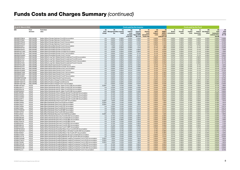| <b>As at 31 March 2022</b>   |                              |                                                                                                                                                                              |                        |                                        |                | Costs paid by the investor                         |                                                        |                                                         | <b>Costs paid by the Fund</b>            |                                                                             |                                     |                                 |                          |                                         |                                |                                                                 |                                           |
|------------------------------|------------------------------|------------------------------------------------------------------------------------------------------------------------------------------------------------------------------|------------------------|----------------------------------------|----------------|----------------------------------------------------|--------------------------------------------------------|---------------------------------------------------------|------------------------------------------|-----------------------------------------------------------------------------|-------------------------------------|---------------------------------|--------------------------|-----------------------------------------|--------------------------------|-----------------------------------------------------------------|-------------------------------------------|
| ISIN                         | Fund<br>structure            | <b>Fund share</b><br>class                                                                                                                                                   | (A)<br>Entry<br>charge | (B)<br>Management Other ongoing<br>fee | (C)<br>costs   | (D)<br>Indirect<br>costs<br>included<br>in the OCF | (E)<br>Ongoing<br>Charges<br>Figure (OCF)<br>$(B+C+D)$ | (F)<br>Gearing<br>costs<br>(Investment)<br>Trusts only) | (G)<br>Other<br><b>Indirect</b><br>costs | (H)<br>PRIIP <sub>s</sub> /<br><b>MiFID II</b><br>ongoing<br>$costs(E+F+G)$ | (I)<br><b>Broker</b><br>commissions | (J)<br><b>Transfer</b><br>taxes | (K)<br>Implicit<br>costs | (L)<br>Indirect<br>transaction<br>costs | (M)<br>Anti-dilution<br>offset | (N)<br><b>Total</b><br>transaction<br>costs (I+J+K+L<br>less M) | (O)<br><b>Total</b><br>Costs<br>$(H + N)$ |
| GB00BP0TRB18                 | OEIC (NURS)                  | Baillie Gifford Climate Optimism Fund B Accumulation                                                                                                                         | n/a                    | 0.50%                                  | 0.09%          | $0.00\%$                                           | 0.59%                                                  | n/a                                                     | 0.00%                                    | 0.59%                                                                       | 0.00%                               | 0.00%                           | 0.00%                    | 0.00%                                   | 0.00%                          | 0.00%                                                           | 0.59%                                     |
| GB00BP0TR991                 | OEIC (NURS)                  | Baillie Gifford Climate Optimism Fund B Income                                                                                                                               | n/a                    | 0.50%                                  | 0.09%          | 0.00%                                              | 0.59%                                                  | n/a                                                     | 0.00%                                    | 0.59%                                                                       | 0.00%                               | 0.00%                           | 0.00%                    | 0.00%                                   | 0.00%                          | 0.00%                                                           | 0.59%                                     |
| GB00BP0TRD32                 | OEIC (NURS)                  | Baillie Gifford Climate Optimism Fund C Accumulation                                                                                                                         | n/a                    | 0.00%                                  | 0.10%          | 0.00%                                              | 0.10%                                                  | n/a                                                     | 0.00%                                    | 0.10%                                                                       | 0.00%                               | 0.00%                           | 0.00%                    | 0.00%                                   | 0.00%                          | 0.00%                                                           | 0.10%                                     |
| GB00BP0TRC25                 | OEIC (NURS)                  | Baillie Gifford Climate Optimism Fund C Income                                                                                                                               | n/a                    | 0.00%                                  | 0.10%          | 0.00%                                              | 0.10%                                                  | n/a                                                     | 0.00%                                    | 0.10%                                                                       | 0.00%                               | 0.00%                           | 0.00%                    | 0.00%                                   | 0.00%                          | 0.00%                                                           | 0.10%                                     |
| GB00B3FD0X77                 | OEIC (NURS)                  | Baillie Gifford Diversified Growth Fund A Accumulation                                                                                                                       | n/a                    | 1.40%                                  | 0.02%          | 0.09%                                              | 1.51%                                                  | n/a                                                     | 0.17%                                    | 1.68%                                                                       | 0.03%                               | 0.02%                           | 0.47%                    | 0.11%                                   | 0.06%                          | 0.56%                                                           | 2.24%                                     |
| GB00B3FD0T32                 | OEIC (NURS)                  | Baillie Gifford Diversified Growth Fund A Income                                                                                                                             | n/a                    | 1.40%                                  | 0.02%          | 0.09%                                              | 1.51%                                                  | n/a                                                     | 0.17%                                    | 1.68%                                                                       | 0.03%                               | 0.02%                           | 0.47%                    | 0.11%                                   | 0.06%                          | 0.56%                                                           | 2.24%                                     |
| GB00B3FD0V53<br>GB00BYQCYV62 | OEIC (NURS)                  | Baillie Gifford Diversified Growth Fund B Income<br>Baillie Gifford Diversified Growth Fund B2 Accumulation                                                                  | n/a<br>n/a             | 0.55%<br>0.55%                         | 0.02%<br>0.02% | 0.09%<br>0.09%                                     | 0.66%<br>0.66%                                         | n/a<br>n/a                                              | 0.17%<br>0.17%                           | 0.83%<br>0.83%                                                              | 0.03%                               | 0.02%<br>0.02%                  | 0.47%<br>0.47%           | 0.11%<br>0.11%                          | 0.06%<br>0.06%                 | 0.56%<br>0.56%                                                  | 1.39%<br>1.39%                            |
| GB00B5YBTT55                 | OEIC (NURS)<br>OEIC (NURS)   | Baillie Gifford Diversified Growth Fund C Accumulation                                                                                                                       | n/a                    | 0.00%                                  | 0.02%          | 0.09%                                              | 0.11%                                                  | n/a                                                     | 0.17%                                    | 0.28%                                                                       | 0.03%<br>0.03%                      | 0.02%                           | 0.47%                    | 0.11%                                   | 0.06%                          | 0.56%                                                           | 0.84%                                     |
| GB00B3FD0W60                 | OEIC (NURS)                  | Baillie Gifford Diversified Growth Fund C Income                                                                                                                             | n/a                    | 0.00%                                  | 0.02%          | 0.09%                                              | 0.11%                                                  | n/a                                                     | 0.17%                                    | 0.28%                                                                       | 0.03%                               | 0.02%                           | 0.47%                    | 0.11%                                   | 0.06%                          | 0.56%                                                           | 0.84%                                     |
| GB00BD5Z0Z54                 | OEIC (NURS)                  | Baillie Gifford Long Term Global Growth Investment Fund B Accumulation                                                                                                       | n/a                    | 0.62%                                  | 0.02%          | 0.00%                                              | 0.64%                                                  | n/a                                                     | 0.00%                                    | 0.64%                                                                       | 0.01%                               | 0.01%                           | 0.12%                    | 0.00%                                   | 0.05%                          | 0.09%                                                           | 0.73%                                     |
| GB00BD5Z1070                 | OEIC (NURS)                  | Baillie Gifford Long Term Global Growth Investment Fund B Income                                                                                                             | n/a                    | 0.62%                                  | 0.02%          | 0.00%                                              | 0.64%                                                  | n/a                                                     | 0.00%                                    | 0.64%                                                                       | 0.01%                               | 0.01%                           | 0.12%                    | 0.00%                                   | 0.05%                          | 0.09%                                                           | 0.73%                                     |
| GB00BD5Z1187                 | OEIC (NURS)                  | Baillie Gifford Long Term Global Growth Investment Fund C Accumulation                                                                                                       | n/a                    | 0.00%                                  | 0.02%          | 0.00%                                              | 0.02%                                                  | n/a                                                     | 0.00%                                    | 0.02%                                                                       | 0.01%                               | 0.01%                           | 0.12%                    | 0.00%                                   | 0.05%                          | 0.09%                                                           | 0.11%                                     |
| GB00BD5Z1294                 | OEIC (NURS)                  | Baillie Gifford Long Term Global Growth Investment Fund C Income                                                                                                             | n/a                    | 0.00%                                  | 0.02%          | 0.00%                                              | 0.02%                                                  | n/a                                                     | 0.00%                                    | 0.02%                                                                       | 0.01%                               | 0.01%                           | 0.12%                    | 0.00%                                   | 0.05%                          | 0.09%                                                           | 0.11%                                     |
| GB00BY9C5J89                 | OEIC (NURS)                  | Baillie Gifford Multi Asset Growth Fund B Income                                                                                                                             | n/a                    | 0.50%                                  | 0.02%          | 0.07%                                              | 0.59%                                                  | n/a                                                     | 0.12%                                    | 0.71%                                                                       | 0.02%                               | 0.03%                           | 0.43%                    | 0.11%                                   | 0.07%                          | 0.51%                                                           | 1.22%                                     |
| GB00BY9C5Y31                 | OEIC (NURS)                  | Baillie Gifford Multi Asset Growth Fund B1 Accumulation                                                                                                                      | n/a                    | 0.50%                                  | 0.02%          | 0.07%                                              | 0.59%                                                  | n/a                                                     | 0.12%                                    | 0.71%                                                                       | 0.02%                               | 0.03%                           | 0.43%                    | 0.11%                                   | 0.07%                          | 0.51%                                                           | 1.22%                                     |
| GB00BY9C7928                 | OEIC (NURS)                  | Baillie Gifford Multi Asset Growth Fund C Accumulation                                                                                                                       | n/a                    | 0.00%                                  | 0.02%          | 0.07%                                              | 0.09%                                                  | n/a                                                     | 0.12%                                    | 0.21%                                                                       | 0.02%                               | 0.03%                           | 0.43%                    | 0.11%                                   | 0.07%                          | 0.51%                                                           | 0.72%                                     |
| GB00BY9C6N90                 | OEIC (NURS)                  | Baillie Gifford Multi Asset Growth Fund C Income                                                                                                                             | n/a                    | 0.00%                                  | 0.02%          | 0.07%                                              | 0.09%                                                  | n/a                                                     | 0.12%                                    | 0.21%                                                                       | 0.02%                               | 0.03%                           | 0.43%                    | 0.11%                                   | 0.07%                          | 0.51%                                                           | 0.72%                                     |
| GB00BK6KTK68                 | OEIC (NURS)                  | Baillie Gifford Multi Asset Growth Fund J Accumulation                                                                                                                       | n/a                    | 0.35%                                  | 0.02%          | 0.07%                                              | 0.44%                                                  | n/a                                                     | 0.12%                                    | 0.56%                                                                       | 0.02%                               | 0.03%                           | 0.43%                    | 0.11%                                   | 0.07%                          | 0.51%                                                           | 1.07%                                     |
| GB00BK6KV663                 | OEIC (NURS)                  | Baillie Gifford Multi Asset Growth Fund J Income                                                                                                                             | n/a                    | 0.35%                                  | 0.02%          | 0.07%                                              | 0.44%                                                  | n/a                                                     | 0.12%                                    | 0.56%                                                                       | 0.02%                               | 0.03%                           | 0.43%                    | 0.11%                                   | 0.07%                          | 0.51%                                                           | 1.07%                                     |
| GB00BY9C8991                 | OEIC (NURS)                  | Baillie Gifford Multi Asset Growth Fund P Accumulation                                                                                                                       | n/a                    | 0.35%                                  | 0.02%          | 0.07%                                              | 0.44%                                                  | n/a                                                     | 0.12%                                    | 0.56%                                                                       | 0.02%                               | 0.03%                           | 0.43%                    | 0.11%                                   | 0.07%                          | 0.51%                                                           | 1.07%                                     |
| GB00BMFWGC86                 | OEIC (NURS)                  | Baillie Gifford Multi Asset Growth Fund Q Income                                                                                                                             | n/a                    | 0.00%                                  | 0.02%          | 0.07%                                              | 0.09%                                                  | n/a                                                     | 0.12%                                    | 0.21%                                                                       | 0.02%                               | 0.03%                           | 0.43%                    | 0.11%                                   | 0.07%                          | 0.51%                                                           | 0.72%                                     |
| GB00BYVGKV59                 | OEIC (NURS)                  | Baillie Gifford Positive Change Fund B Accumulation                                                                                                                          | n/a                    | 0.50%                                  | 0.03%          | 0.00%                                              | 0.53%                                                  | n/a                                                     | 0.00%                                    | 0.53%                                                                       | 0.02%                               | 0.03%                           | 0.26%                    | 0.00%                                   | 0.09%                          | 0.23%                                                           | 0.76%                                     |
| GB00BYVGKX73                 | OEIC (NURS)                  | Baillie Gifford Positive Change Fund B Income                                                                                                                                | n/a                    | 0.50%                                  | 0.03%          | 0.00%                                              | 0.53%                                                  | n/a                                                     | 0.00%                                    | 0.53%                                                                       | 0.02%                               | 0.03%                           | 0.26%                    | 0.00%                                   | 0.09%                          | 0.23%                                                           | 0.76%                                     |
| GB00BYVGKY80                 | OEIC (NURS)                  | Baillie Gifford Positive Change Fund C Accumulation                                                                                                                          | n/a                    | 0.00%                                  | 0.03%          | 0.00%                                              | 0.03%                                                  | n/a                                                     | 0.00%                                    | 0.03%                                                                       | 0.02%                               | 0.03%                           | 0.26%                    | 0.00%                                   | 0.09%                          | 0.23%                                                           | 0.26%                                     |
| IE00BKYBTW37                 | <b>UCITS</b>                 | Baillie Gifford Worldwide Asia ex Japan Fund A USD Accumulation                                                                                                              | 5.00%                  | 1.50%                                  | 0.15%          | 0.00%                                              | 1.65%                                                  | n/a                                                     | 0.04%                                    | 1.69%                                                                       | 0.04%                               | 0.05%                           | 0.31%                    | 0.00%                                   | 0.23%                          | 0.17%                                                           | 1.86%                                     |
| IE00BN15WT71                 | <b>UCITS</b>                 | Baillie Gifford Worldwide Asia Ex Japan Fund B CHF Accumulation                                                                                                              | n/a                    | 0.33%                                  | 0.15%          | 0.00%                                              | 0.48%                                                  | n/a                                                     | 0.04%                                    | 0.52%                                                                       | 0.04%                               | 0.05%                           | 0.31%                    | 0.00%                                   | 0.23%                          | 0.17%                                                           | 0.69%                                     |
| IE00BZ00WJ76                 | <b>UCITS</b>                 | Baillie Gifford Worldwide Asia Ex Japan Fund B EUR Accumulation                                                                                                              | n/a                    | 0.33%                                  | 0.15%          | 0.00%                                              | 0.48%                                                  | n/a                                                     | 0.04%                                    | 0.52%                                                                       | 0.04%                               | 0.05%                           | 0.31%                    | 0.00%                                   | 0.23%                          | 0.17%                                                           | 0.69%                                     |
| IE00BZ00WK81                 | <b>UCITS</b>                 | Baillie Gifford Worldwide Asia Ex Japan Fund B USD Accumulation                                                                                                              | n/a                    | 0.33%                                  | 0.15%          | 0.00%                                              | 0.48%                                                  | n/a                                                     | 0.04%                                    | 0.52%                                                                       | 0.04%                               | 0.05%                           | 0.31%                    | 0.00%                                   | 0.23%                          | 0.17%                                                           | 0.69%                                     |
| IE00BJJP8599                 | <b>UCITS</b>                 | Baillie Gifford Worldwide China A Shares Growth Fund B AUD Accumulation                                                                                                      | n/a                    | 0.72%                                  | 0.15%          | 0.00%                                              | 0.87%                                                  | n/a                                                     | 0.00%                                    | 0.87%                                                                       | 0.02%                               | 0.02%                           | 0.04%                    | 0.00%                                   | 0.00%                          | 0.08%                                                           | 0.95%                                     |
| IE00BJCZ3Q24<br>IE00BJCZ3N92 | <b>UCITS</b><br><b>UCITS</b> | Baillie Gifford Worldwide China A Shares Growth Fund B CNY Accumulation<br>Baillie Gifford Worldwide China A Shares Growth Fund B EUR Accumulation                           | n/a<br>n/a             | 0.72%<br>0.72%                         | 0.15%<br>0.15% | 0.00%<br>0.00%                                     | 0.87%<br>0.87%                                         | n/a<br>n/a                                              | 0.00%<br>0.00%                           | 0.87%<br>0.87%                                                              | 0.02%<br>0.02%                      | 0.02%<br>0.02%                  | 0.04%<br>0.04%           | 0.00%<br>0.00%                          | 0.00%<br>0.00%                 | 0.08%<br>0.08%                                                  | 0.95%<br>0.95%                            |
| IE00BJCZ3P17                 | <b>UCITS</b>                 | Baillie Gifford Worldwide China A Shares Growth Fund B USD Accumulation                                                                                                      | n/a                    | 0.72%                                  | 0.15%          | 0.00%                                              | 0.87%                                                  | n/a                                                     | 0.00%                                    | 0.87%                                                                       | 0.02%                               | 0.02%                           | 0.04%                    | 0.00%                                   | 0.00%                          | 0.08%                                                           | 0.95%                                     |
| IE00BNTJ9N47                 | <b>UCITS</b>                 | Baillie Gifford Worldwide China Fund A CHF Accumulation                                                                                                                      | 5.00%                  | 1.50%                                  | 0.15%          | 0.00%                                              | 1.65%                                                  | n/a                                                     | 0.00%                                    | 1.65%                                                                       | 0.00%                               | 0.01%                           | 0.15%                    | 0.00%                                   | 0.00%                          | 0.16%                                                           | 1.81%                                     |
| IE00BNTJ9P60                 | <b>UCITS</b>                 | Baillie Gifford Worldwide China Fund A EUR Accumulation                                                                                                                      | 5.00%                  | 1.50%                                  | 0.15%          | 0.00%                                              | 1.65%                                                  | n/a                                                     | 0.00%                                    | 1.65%                                                                       | 0.00%                               | 0.01%                           | 0.15%                    | 0.00%                                   | 0.00%                          | 0.16%                                                           | 1.81%                                     |
| IE00BNTJ9Q77                 | <b>UCITS</b>                 | Baillie Gifford Worldwide China Fund A USD Accumulation                                                                                                                      | 5.00%                  | 1.50%                                  | 0.15%          | 0.00%                                              | 1.65%                                                  | n/a                                                     | 0.00%                                    | 1.65%                                                                       | 0.00%                               | 0.01%                           | 0.15%                    | 0.00%                                   | 0.00%                          | 0.16%                                                           | 1.81%                                     |
| IE00BNTJ9R84                 | <b>UCITS</b>                 | Baillie Gifford Worldwide China Fund B CHF Accumulation                                                                                                                      | n/a                    | 0.36%                                  | 0.15%          | 0.00%                                              | 0.51%                                                  | n/a                                                     | 0.00%                                    | 0.51%                                                                       | 0.00%                               | 0.01%                           | 0.15%                    | 0.00%                                   | 0.00%                          | 0.16%                                                           | 0.67%                                     |
| IE00BNTJ9S91                 | <b>UCITS</b>                 | Baillie Gifford Worldwide China Fund B EUR Accumulation                                                                                                                      | n/a                    | 0.36%                                  | 0.15%          | 0.00%                                              | 0.51%                                                  | n/a                                                     | 0.00%                                    | 0.51%                                                                       | 0.00%                               | 0.01%                           | 0.15%                    | 0.00%                                   | 0.00%                          | 0.16%                                                           | 0.67%                                     |
| IE0003THSEW5                 | <b>UCITS</b>                 | Baillie Gifford Worldwide China Fund B GBP Accumulation                                                                                                                      | n/a                    | 0.36%                                  | 0.15%          | 0.00%                                              | 0.51%                                                  | n/a                                                     | 0.00%                                    | 0.51%                                                                       | 0.00%                               | 0.01%                           | 0.15%                    | 0.00%                                   | 0.00%                          | 0.16%                                                           | 0.67%                                     |
| IE00BNTJ9T09                 | <b>UCITS</b>                 | Baillie Gifford Worldwide China Fund B USD Accumulation                                                                                                                      | n/a                    | 0.36%                                  | 0.15%          | 0.00%                                              | 0.51%                                                  | n/a                                                     | 0.00%                                    | 0.51%                                                                       | 0.00%                               | 0.01%                           | 0.15%                    | 0.00%                                   | 0.00%                          | 0.16%                                                           | 0.67%                                     |
| IE00BJ5JS224                 | <b>UCITS</b>                 | Baillie Gifford Worldwide Discovery Fund A EUR Accumulation                                                                                                                  | 5.00%                  | 1.50%                                  | 0.10%          | 0.00%                                              | 1.60%                                                  | n/a                                                     | 0.00%                                    | 1.60%                                                                       | 0.03%                               | 0.04%                           | 0.33%                    | 0.00%                                   | 0.15%                          | 0.25%                                                           | 1.85%                                     |
| IE00BKLC2X16                 | <b>UCITS</b>                 | Baillie Gifford Worldwide Discovery Fund B CAD Accumulation                                                                                                                  | n/a                    | 0.75%                                  | 0.10%          | 0.00%                                              | 0.85%                                                  | n/a                                                     | 0.00%                                    | 0.85%                                                                       | 0.03%                               | 0.04%                           | 0.33%                    | 0.00%                                   | 0.15%                          | 0.25%                                                           | 1.10%                                     |
| IE00BD09K309                 | <b>UCITS</b>                 | Baillie Gifford Worldwide Discovery Fund B EUR Accumulation                                                                                                                  | n/a                    | 0.75%                                  | 0.10%          | 0.00%                                              | 0.85%                                                  | n/a                                                     | 0.00%                                    | 0.85%                                                                       | 0.03%                               | 0.04%                           | 0.33%                    | 0.00%                                   | 0.15%                          | 0.25%                                                           | 1.10%                                     |
| IE00BG88PY66                 | <b>UCITS</b>                 | Baillie Gifford Worldwide Discovery Fund B GBP Accumulation                                                                                                                  | n/a                    | 0.75%                                  | 0.09%          | 0.00%                                              | 0.84%                                                  | n/a                                                     | 0.00%                                    | 0.84%                                                                       | 0.03%                               | 0.04%                           | 0.33%                    | 0.00%                                   | 0.15%                          | 0.25%                                                           | 1.09%                                     |
| IE00BJ7W3579                 | <b>UCITS</b>                 | Baillie Gifford Worldwide Discovery Fund B GBP Income                                                                                                                        | n/a                    | 0.75%                                  | 0.10%          | 0.00%                                              | 0.85%                                                  | n/a                                                     | 0.00%                                    | 0.85%                                                                       | 0.03%                               | 0.04%                           | 0.33%                    | 0.00%                                   | 0.15%                          | 0.25%                                                           | 1.10%                                     |
| IE00BK63G481                 | <b>UCITS</b>                 | Baillie Gifford Worldwide Discovery Fund B NZD Accumulation                                                                                                                  | n/a                    | 0.75%                                  | 0.10%          | 0.00%                                              | 0.85%                                                  | n/a                                                     | 0.00%                                    | 0.85%                                                                       | 0.03%                               | 0.04%                           | 0.33%                    | 0.00%                                   | 0.15%                          | 0.25%                                                           | 1.10%                                     |
| IE00BD09K416                 | <b>UCITS</b>                 | Baillie Gifford Worldwide Discovery Fund B USD Accumulation                                                                                                                  | n/a                    | 0.75%                                  | 0.10%          | 0.00%                                              | 0.85%                                                  | n/a                                                     | 0.00%                                    | 0.85%                                                                       | 0.03%                               | 0.04%                           | 0.33%                    | 0.00%                                   | 0.15%                          | 0.25%                                                           | 1.10%                                     |
| IE00BJVHXJ20                 | <b>UCITS</b>                 | Baillie Gifford Worldwide Discovery Fund C GBP Accumulation                                                                                                                  | n/a                    | 0.00%                                  | 0.10%          | 0.00%                                              | 0.10%                                                  | n/a                                                     | 0.00%                                    | 0.10%                                                                       | 0.03%                               | 0.04%                           | 0.33%                    | 0.00%                                   | 0.15%                          | 0.25%                                                           | 0.35%                                     |
| IE00BFMHQK54                 | <b>UCITS</b>                 | Baillie Gifford Worldwide Diversified Return Euro Fund B EUR Accumulation                                                                                                    | n/a                    | 0.50%                                  | 0.14%          | 0.06%                                              | 0.70%                                                  | n/a                                                     | 0.18%                                    | 0.87%                                                                       | 0.02%                               | 0.02%                           | 0.40%                    | 0.12%                                   | 0.02%                          | 0.55%                                                           | 1.42%                                     |
| IE00BYXQHG70                 | <b>UCITS</b>                 | Baillie Gifford Worldwide Diversified Return US Dollar Fund B USD Accumulation                                                                                               | n/a                    | 0.50%                                  | 0.14%          | 0.06%                                              | $0.70\%$                                               | n/a                                                     | 0.18%                                    | 0.88%                                                                       | 0.02%                               | 0.03%                           | 0.33%                    | 0.12%                                   | 0.01%                          | 0.49%                                                           | 1.37%                                     |
| IE00BZ18GN21                 | <b>UCITS</b>                 | Baillie Gifford Worldwide Diversified Return Yen Fund B JPY Accumulation                                                                                                     | n/a                    | 0.50%                                  | 0.14%          | 0.06%                                              | 0.70%                                                  | n/a                                                     | 0.18%                                    | 0.88%                                                                       | 0.02%                               | 0.02%                           | 0.35%                    | 0.13%                                   | 0.05%                          | 0.47%                                                           | 1.35%                                     |
| IE00BDCY2933                 | <b>UCITS</b>                 | Baillie Gifford Worldwide Emerging Markets All Cap Fund B EUR Accumulation                                                                                                   | n/a                    | 0.36%                                  | 0.15%          | 0.00%                                              | 0.51%                                                  | n/a                                                     | 0.00%                                    | 0.51%                                                                       | 0.01%                               | 0.02%                           | 0.06%                    | 0.00%                                   | 0.04%                          | 0.04%                                                           | 0.55%                                     |
| IE00BDCY2719                 | <b>UCITS</b>                 | Baillie Gifford Worldwide Emerging Markets All Cap Fund B USD Accumulation                                                                                                   | n/a                    | 0.36%                                  | 0.15%          | 0.00%                                              | 0.51%                                                  | n/a                                                     | 0.00%                                    | 0.51%                                                                       | 0.01%                               | 0.02%                           | 0.06%                    | 0.00%                                   | 0.04%                          | 0.04%                                                           | 0.55%                                     |
| IE00BN15WK88                 | <b>UCITS</b>                 | Baillie Gifford Worldwide Emerging Markets Leading Companies Fund A CHF Accumulation                                                                                         | 5.00%                  | 1.50%                                  | 0.10%          | 0.00%                                              | 1.60%                                                  | n/a                                                     | 0.00%                                    | 1.60%                                                                       | 0.04%                               | 0.06%                           | 0.04%                    | 0.00%                                   | 0.12%                          | 0.02%                                                           | 1.62%                                     |
| IE00BK5TW610                 | <b>UCITS</b><br><b>UCITS</b> | Baillie Gifford Worldwide Emerging Markets Leading Companies Fund A EUR Accumulation<br>Baillie Gifford Worldwide Emerging Markets Leading Companies Fund A USD Accumulation | 5.00%                  | 1.50%<br>1.50%                         | 0.10%          | 0.00%<br>0.00%                                     | 1.60%<br>1.60%                                         | n/a<br>n/a                                              | 0.00%                                    | 1.60%                                                                       | 0.04%                               | 0.06%                           | 0.04%                    | 0.00%                                   | 0.12%<br>0.12%                 | 0.02%<br>0.02%                                                  | 1.62%<br>1.62%                            |
| IE00BK70X580<br>IE00BN15WL95 | <b>UCITS</b>                 | Baillie Gifford Worldwide Emerging Markets Leading Companies Fund B CHF Accumulation                                                                                         | 5.00%<br>n/a           | 0.72%                                  | 0.10%<br>0.10% | 0.00%                                              | 0.82%                                                  | n/a                                                     | 0.00%<br>0.00%                           | 1.60%<br>0.82%                                                              | 0.04%<br>0.04%                      | 0.06%<br>0.06%                  | 0.04%<br>0.04%           | 0.00%<br>0.00%                          | 0.12%                          | 0.02%                                                           | 0.84%                                     |
| IE00BW0DJK52                 | <b>UCITS</b>                 | Baillie Gifford Worldwide Emerging Markets Leading Companies Fund B EUR Accumulation                                                                                         | n/a                    | 0.72%                                  | 0.10%          | 0.00%                                              | 0.82%                                                  | n/a                                                     | 0.00%                                    | 0.82%                                                                       | 0.04%                               | 0.06%                           | 0.04%                    | 0.00%                                   | 0.12%                          | 0.02%                                                           | 0.84%                                     |
| IE00BW0DJL69                 | <b>UCITS</b>                 | Baillie Gifford Worldwide Emerging Markets Leading Companies Fund B USD Accumulation                                                                                         | n/a                    | 0.72%                                  | 0.10%          | 0.00%                                              | 0.82%                                                  | n/a                                                     | 0.00%                                    | 0.82%                                                                       | 0.04%                               | 0.06%                           | 0.04%                    | 0.00%                                   | 0.12%                          | 0.02%                                                           | 0.84%                                     |
| IE00B3T2JL14                 | <b>UCITS</b>                 | Baillie Gifford Worldwide Emerging Markets Leading Companies Fund C Accumulation                                                                                             | n/a                    | 0.00%                                  | 0.10%          | 0.00%                                              | 0.10%                                                  | n/a                                                     | 0.00%                                    | 0.10%                                                                       | 0.04%                               | 0.06%                           | 0.04%                    | 0.00%                                   | 0.12%                          | 0.02%                                                           | 0.12%                                     |
|                              |                              |                                                                                                                                                                              |                        |                                        |                |                                                    |                                                        |                                                         |                                          |                                                                             |                                     |                                 |                          |                                         |                                |                                                                 |                                           |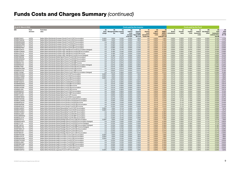| As at 31 March 2022          |                              |                                                                                                                                                   |                        |                                        |                | <b>Costs paid by the investor</b>                  |                                                        |                                                        | <b>Costs paid by the Fund</b>            |                                             |                                                       |                                 |                          |                                         |                                |                                                                 |                                           |
|------------------------------|------------------------------|---------------------------------------------------------------------------------------------------------------------------------------------------|------------------------|----------------------------------------|----------------|----------------------------------------------------|--------------------------------------------------------|--------------------------------------------------------|------------------------------------------|---------------------------------------------|-------------------------------------------------------|---------------------------------|--------------------------|-----------------------------------------|--------------------------------|-----------------------------------------------------------------|-------------------------------------------|
| ISIN                         | Fund<br>structure            | <b>Fund share</b><br>class                                                                                                                        | (A)<br>Entry<br>charge | (B)<br>Management Other ongoing<br>fee | (C)<br>costs   | (D)<br>Indirect<br>costs<br>included<br>in the OCF | (E)<br>Ongoing<br>Charges<br>Figure (OCF)<br>$(B+C+D)$ | (F)<br>Gearing<br>costs<br>(Investment<br>Trusts only) | (G)<br>Other<br><b>Indirect</b><br>costs | (H)<br>PRIIPs/<br>ongoing<br>$costs(E+F+G)$ | - (I)<br><b>Broker</b><br><b>MiFID II</b> commissions | (J)<br><b>Transfer</b><br>taxes | (K)<br>Implicit<br>costs | (L)<br>Indirect<br>transaction<br>costs | (M)<br>Anti-dilution<br>offset | (N)<br><b>Total</b><br>transaction<br>costs (I+J+K+L<br>less M) | (O)<br><b>Total</b><br>Costs<br>$(H + N)$ |
| IE00BNTJ9V21                 | <b>UCITS</b>                 | Baillie Gifford Worldwide European Growth Fund A CHF Accumulation                                                                                 | 5.00%                  | 1.50%                                  | 0.15%          | 0.00%                                              | 1.65%                                                  | n/a                                                    | 0.00%                                    | 1.65%                                       | 0.00%                                                 | 0.00%                           | 0.12%                    | 0.00%                                   | 0.00%                          | 0.12%                                                           | 1.77%                                     |
| IE00BNTJ9W38                 | <b>UCITS</b>                 | Baillie Gifford Worldwide European Growth Fund A EUR Accumulation                                                                                 | 5.00%                  | 1.50%                                  | 0.15%          | 0.00%                                              | 1.65%                                                  | n/a                                                    | 0.00%                                    | 1.65%                                       | 0.00%                                                 | 0.00%                           | 0.12%                    | 0.00%                                   | 0.00%                          | 0.12%                                                           | 1.77%                                     |
| IE00BM9GNX68                 | <b>UCITS</b>                 | Baillie Gifford Worldwide European Growth Fund B CHF Accumulation                                                                                 | n/a                    | 0.28%                                  | 0.15%          | 0.00%                                              | 0.43%                                                  | n/a                                                    | 0.00%                                    | 0.43%                                       | 0.00%                                                 | 0.00%                           | 0.12%                    | 0.00%                                   | 0.00%                          | 0.12%                                                           | 0.55%                                     |
| IE00BM9GPB88                 | <b>UCITS</b>                 | Baillie Gifford Worldwide European Growth Fund B EUR Accumulation                                                                                 | n/a                    | 0.28%                                  | 0.15%          | 0.00%                                              | 0.43%                                                  | n/a                                                    | 0.00%                                    | 0.43%                                       | 0.00%                                                 | 0.00%                           | 0.12%                    | 0.00%                                   | 0.00%                          | 0.12%                                                           | 0.55%                                     |
| IE00BM9GNY75                 | <b>UCITS</b>                 | Baillie Gifford Worldwide European Growth Fund B GBP Accumulation                                                                                 | n/a                    | 0.28%                                  | 0.15%          | 0.00%                                              | 0.43%                                                  | n/a                                                    | 0.00%                                    | 0.43%                                       | 0.00%                                                 | 0.00%                           | 0.12%                    | 0.00%                                   | 0.00%                          | 0.12%                                                           | 0.55%                                     |
| IE00BM9GP967                 | <b>UCITS</b>                 | Baillie Gifford Worldwide European Growth Fund B USD Accumulation                                                                                 | n/a                    | 0.28%                                  | 0.15%          | 0.00%                                              | 0.43%                                                  | n/a                                                    | 0.00%                                    | 0.43%                                       | 0.00%                                                 | 0.00%                           | 0.12%                    | 0.00%                                   | 0.00%                          | 0.12%                                                           | 0.55%                                     |
| IE00BHTCM101                 | <b>UCITS</b>                 | Baillie Gifford Worldwide European High Yield Bond Fund B Accumulation (Hedged)                                                                   | n/a                    | 0.18%                                  | 0.17%          | 0.00%                                              | 0.35%                                                  | n/a                                                    | 0.00%                                    | 0.35%                                       | 0.00%                                                 | 0.00%                           | 0.07%                    | 0.00%                                   | 0.02%                          | 0.05%                                                           | 0.40%                                     |
| IE00BHTCM093<br>IE00BJCZ3L78 | <b>UCITS</b>                 | Baillie Gifford Worldwide European High Yield Bond Fund B EUR Accumulation                                                                        | n/a                    | 0.18%<br>0.18%                         | 0.15%          | 0.00%<br>0.00%                                     | 0.33%                                                  | n/a                                                    | 0.00%<br>0.00%                           | 0.33%                                       | 0.00%                                                 | 0.00%<br>0.00%                  | 0.18%                    | 0.00%<br>0.00%                          | 0.02%                          | 0.16%                                                           | 0.49%<br>0.49%                            |
| IE00BJCZ3M85                 | <b>UCITS</b><br><b>UCITS</b> | Baillie Gifford Worldwide European High Yield Bond Fund B EUR Income<br>Baillie Gifford Worldwide European High Yield Bond Fund B Income (Hedged) | n/a<br>n/a             | 0.18%                                  | 0.15%<br>0.17% | 0.00%                                              | 0.33%<br>0.35%                                         | n/a<br>n/a                                             | 0.00%                                    | 0.33%<br>0.35%                              | 0.00%<br>0.00%                                        | 0.00%                           | 0.18%<br>0.07%           | 0.00%                                   | 0.02%<br>0.02%                 | 0.16%<br>0.06%                                                  | 0.41%                                     |
| IE00BVVB5F88                 | <b>UCITS</b>                 | Baillie Gifford Worldwide Global Alpha Choice Fund B CAD Accumulation                                                                             | n/a                    | 0.57%                                  | 0.07%          | 0.00%                                              | 0.64%                                                  | n/a                                                    | 0.00%                                    | 0.64%                                       | 0.02%                                                 | 0.02%                           | 0.06%                    | 0.00%                                   | 0.03%                          | 0.08%                                                           | 0.72%                                     |
| IE00BHNZM592                 | <b>UCITS</b>                 | Baillie Gifford Worldwide Global Alpha Choice Fund B EUR Accumulation                                                                             | n/a                    | 0.57%                                  | 0.07%          | 0.00%                                              | 0.64%                                                  | n/a                                                    | 0.00%                                    | 0.64%                                       | 0.02%                                                 | 0.02%                           | 0.06%                    | 0.00%                                   | 0.03%                          | 0.08%                                                           | 0.72%                                     |
| IE00BZ0FXF52                 | <b>UCITS</b>                 | Baillie Gifford Worldwide Global Alpha Choice Fund B GBP Accumulation                                                                             | n/a                    | 0.57%                                  | 0.07%          | 0.00%                                              | 0.64%                                                  | n/a                                                    | 0.00%                                    | 0.64%                                       | 0.02%                                                 | 0.02%                           | 0.06%                    | 0.00%                                   | 0.03%                          | 0.08%                                                           | 0.72%                                     |
| IE00BB36C725                 | <b>UCITS</b>                 | Baillie Gifford Worldwide Global Alpha Choice Fund B GBP Income                                                                                   | n/a                    | 0.57%                                  | 0.07%          | 0.00%                                              | 0.64%                                                  | n/a                                                    | 0.00%                                    | 0.64%                                       | 0.02%                                                 | 0.02%                           | 0.06%                    | 0.00%                                   | 0.03%                          | 0.08%                                                           | 0.72%                                     |
| IE00B6R6XH07                 | <b>UCITS</b>                 | Baillie Gifford Worldwide Global Alpha Choice Fund B NOK Accumulation (Hedged)                                                                    | n/a                    | 0.57%                                  | 0.09%          | 0.00%                                              | 0.66%                                                  | n/a                                                    | 0.00%                                    | 0.66%                                       | 0.02%                                                 | 0.02%                           | $-0.45%$                 | 0.00%                                   | 0.03%                          | $-0.44%$                                                        | 0.22%                                     |
| IE00B88JT962                 | <b>UCITS</b>                 | Baillie Gifford Worldwide Global Alpha Choice Fund B USD Accumulation                                                                             | n/a                    | 0.57%                                  | 0.07%          | 0.00%                                              | 0.64%                                                  | n/a                                                    | 0.00%                                    | 0.64%                                       | 0.02%                                                 | 0.02%                           | 0.06%                    | 0.00%                                   | 0.03%                          | 0.08%                                                           | 0.72%                                     |
| IE00BG0WJG66                 | <b>UCITS</b>                 | Baillie Gifford Worldwide Global Alpha Choice Fund B USD Income                                                                                   | n/a                    | 0.57%                                  | 0.07%          | 0.00%                                              | 0.64%                                                  | n/a                                                    | 0.00%                                    | 0.64%                                       | 0.02%                                                 | 0.02%                           | 0.06%                    | 0.00%                                   | 0.03%                          | 0.08%                                                           | 0.72%                                     |
| IE00B8G4HY49                 | <b>UCITS</b>                 | Baillie Gifford Worldwide Global Alpha Choice Fund C GBP Income                                                                                   | n/a                    | 0.00%                                  | 0.07%          | 0.00%                                              | 0.07%                                                  | n/a                                                    | 0.00%                                    | 0.07%                                       | 0.02%                                                 | 0.02%                           | 0.06%                    | 0.00%                                   | 0.03%                          | 0.08%                                                           | 0.15%                                     |
| IE00BYVXP887                 | <b>UCITS</b>                 | Baillie Gifford Worldwide Global Alpha Choice Fund D NOK Accumulation (Hedged)                                                                    | n/a                    | 0.57%                                  | 0.00%          | 0.00%                                              | 0.57%                                                  | n/a                                                    | 0.00%                                    | 0.57%                                       | 0.02%                                                 | 0.02%                           | $-0.40%$                 | 0.00%                                   | 0.03%                          | $-0.39%$                                                        | 0.18%                                     |
| IE00BN15WW01                 | <b>UCITS</b>                 | Baillie Gifford Worldwide Global Alpha Fund A CHF Accumulation                                                                                    | 5.00%                  | 1.50%                                  | 0.05%          | 0.00%                                              | 1.55%                                                  | n/a                                                    | 0.00%                                    | 1.55%                                       | 0.01%                                                 | 0.02%                           | 0.05%                    | 0.00%                                   | 0.03%                          | 0.05%                                                           | 1.60%                                     |
| IE00BK5TWB66                 | <b>UCITS</b>                 | Baillie Gifford Worldwide Global Alpha Fund A EUR Accumulation                                                                                    | 5.00%                  | 1.50%                                  | 0.05%          | 0.00%                                              | 1.55%                                                  | n/a                                                    | 0.00%                                    | 1.55%                                       | 0.01%                                                 | 0.02%                           | 0.05%                    | 0.00%                                   | 0.03%                          | 0.05%                                                           | 1.60%                                     |
| IE00B88CSH68                 | <b>UCITS</b>                 | Baillie Gifford Worldwide Global Alpha Fund A USD Accumulation                                                                                    | 5.00%                  | 1.50%                                  | 0.05%          | 0.00%                                              | 1.55%                                                  | n/a                                                    | 0.00%                                    | 1.55%                                       | 0.01%                                                 | 0.02%                           | 0.05%                    | 0.00%                                   | 0.03%                          | 0.05%                                                           | 1.60%                                     |
| IE00BSNB8564                 | <b>UCITS</b>                 | Baillie Gifford Worldwide Global Alpha Fund B CHF Accumulation                                                                                    | n/a                    | 0.57%                                  | 0.05%          | 0.00%                                              | 0.62%                                                  | n/a                                                    | 0.00%                                    | 0.62%                                       | 0.01%                                                 | 0.02%                           | 0.05%                    | 0.00%                                   | 0.03%                          | 0.05%                                                           | 0.67%                                     |
| IE00BFX4DD70                 | <b>UCITS</b>                 | Baillie Gifford Worldwide Global Alpha Fund B EUR Accumulation                                                                                    | n/a                    | 0.57%                                  | 0.05%          | 0.00%                                              | 0.62%                                                  | n/a                                                    | 0.00%                                    | 0.62%                                       | 0.01%                                                 | 0.02%                           | 0.05%                    | 0.00%                                   | 0.03%                          | 0.05%                                                           | 0.67%                                     |
| IE00BM98ZM50                 | <b>UCITS</b>                 | Baillie Gifford Worldwide Global Alpha Fund B GBP Accumulation                                                                                    | n/a                    | 0.57%                                  | 0.05%          | 0.00%                                              | 0.62%                                                  | n/a                                                    | 0.00%                                    | 0.62%                                       | 0.01%                                                 | 0.02%                           | 0.05%                    | 0.00%                                   | 0.03%                          | 0.05%                                                           | 0.67%                                     |
| IE00BMXR2D84                 | <b>UCITS</b>                 | Baillie Gifford Worldwide Global Alpha Fund B GBP Income                                                                                          | n/a                    | 0.57%                                  | 0.05%          | 0.00%                                              | 0.62%                                                  | n/a                                                    | 0.00%                                    | 0.62%                                       | 0.01%                                                 | 0.02%                           | 0.05%                    | 0.00%                                   | 0.03%                          | 0.05%                                                           | 0.67%                                     |
| IE00B912KW96                 | <b>UCITS</b>                 | Baillie Gifford Worldwide Global Alpha Fund B USD Accumulation                                                                                    | n/a                    | 0.57%                                  | 0.05%          | 0.00%                                              | 0.62%                                                  | n/a                                                    | 0.00%                                    | 0.62%                                       | 0.01%                                                 | 0.02%                           | 0.05%                    | 0.00%                                   | 0.03%                          | 0.05%                                                           | 0.67%                                     |
| IE00B90ZJS81                 | <b>UCITS</b>                 | Baillie Gifford Worldwide Global Alpha Fund B USD Income                                                                                          | n/a                    | 0.57%                                  | 0.05%          | 0.00%                                              | 0.62%                                                  | n/a                                                    | 0.00%                                    | 0.62%                                       | 0.01%                                                 | 0.02%                           | 0.05%                    | 0.00%                                   | 0.03%                          | 0.05%                                                           | 0.67%                                     |
| IE00BRS62D57                 | <b>UCITS</b>                 | Baillie Gifford Worldwide Global Alpha Fund C CHF Accumulation                                                                                    | n/a                    | 0.00%                                  | 0.05%          | 0.00%                                              | 0.05%                                                  | n/a                                                    | 0.00%                                    | 0.05%                                       | 0.01%                                                 | 0.02%                           | 0.05%                    | 0.00%                                   | 0.03%                          | 0.05%                                                           | 0.10%                                     |
| IE00BJM0FX81                 | <b>UCITS</b>                 | Baillie Gifford Worldwide Global Alpha Fund C GBP Accumulation                                                                                    | n/a                    | 0.00%                                  | 0.05%          | 0.00%                                              | 0.05%                                                  | n/a                                                    | 0.00%                                    | 0.05%                                       | 0.01%                                                 | 0.02%                           | 0.05%                    | 0.00%                                   | 0.03%                          | 0.05%                                                           | 0.10%                                     |
| IE00BVYJ4Z25                 | <b>UCITS</b>                 | Baillie Gifford Worldwide Global Alpha Fund C JPY Income                                                                                          | n/a                    | 0.00%                                  | 0.05%          | 0.00%                                              | 0.05%                                                  | n/a                                                    | 0.00%                                    | 0.05%                                       | 0.01%                                                 | 0.02%                           | 0.05%                    | 0.00%                                   | 0.03%                          | 0.05%                                                           | 0.10%                                     |
| IE00BNB79M50                 | <b>UCITS</b>                 | Baillie Gifford Worldwide Global Alpha Fund D DKK Accumulation                                                                                    | n/a                    | 0.57%                                  | 0.05%          | 0.00%                                              | 0.62%                                                  | n/a                                                    | 0.00%                                    | 0.62%                                       | 0.01%                                                 | 0.02%                           | 0.05%                    | 0.00%                                   | 0.03%                          | 0.05%                                                           | 0.67%                                     |
| IE00BN15WV93<br>IE00BKLC2W09 | <b>UCITS</b><br><b>UCITS</b> | Baillie Gifford Worldwide Global Income Growth Fund B CHF Accumulation<br>Baillie Gifford Worldwide Global Income Growth Fund B EUR Accumulation  | n/a<br>n/a             | 0.25%<br>0.25%                         | 0.15%<br>0.15% | 0.00%<br>0.00%                                     | 0.40%<br>0.40%                                         | n/a<br>n/a                                             | 0.01%<br>0.01%                           | 0.41%<br>0.41%                              | 0.04%<br>0.04%                                        | 0.11%<br>0.11%                  | 0.10%<br>0.10%           | 0.00%<br>0.00%                          | 0.23%<br>0.23%                 | 0.03%<br>0.03%                                                  | 0.44%<br>0.44%                            |
| IE00BK8PGD16                 | <b>UCITS</b>                 | Baillie Gifford Worldwide Global Income Growth Fund B EUR Income                                                                                  | n/a                    | 0.25%                                  | 0.15%          | 0.00%                                              | 0.40%                                                  | n/a                                                    | 0.01%                                    | 0.41%                                       | 0.04%                                                 | 0.11%                           | 0.10%                    | 0.00%                                   | 0.23%                          | 0.03%                                                           | 0.44%                                     |
| IE00BF6NPR96                 | <b>UCITS</b>                 | Baillie Gifford Worldwide Global Income Growth Fund B USD Accumulation                                                                            | n/a                    | 0.25%                                  | 0.15%          | 0.00%                                              | 0.40%                                                  | n/a                                                    | 0.01%                                    | 0.41%                                       | 0.04%                                                 | 0.11%                           | 0.10%                    | 0.00%                                   | 0.23%                          | 0.03%                                                           | 0.44%                                     |
| IE00BK8PGF30                 | <b>UCITS</b>                 | Baillie Gifford Worldwide Global Income Growth Fund B USD Income                                                                                  | n/a                    | 0.25%                                  | 0.15%          | 0.00%                                              | 0.40%                                                  | n/a                                                    | 0.01%                                    | 0.41%                                       | 0.04%                                                 | 0.11%                           | 0.10%                    | 0.00%                                   | 0.23%                          | 0.03%                                                           | 0.44%                                     |
| IE00BN15WR57                 | <b>UCITS</b>                 | Baillie Gifford Worldwide Global Stewardship Fund A CHF Accumulation                                                                              | 5.00%                  | 1.50%                                  | 0.11%          | 0.00%                                              | 1.61%                                                  | n/a                                                    | 0.00%                                    | 1.61%                                       | 0.02%                                                 | 0.02%                           | 0.07%                    | 0.00%                                   | 0.04%                          | 0.06%                                                           | 1.67%                                     |
| IE00BK5TW834                 | <b>UCITS</b>                 | Baillie Gifford Worldwide Global Stewardship Fund A EUR Accumulation                                                                              | 5.00%                  | 1.50%                                  | 0.11%          | 0.00%                                              | 1.61%                                                  | n/a                                                    | 0.00%                                    | 1.61%                                       | 0.02%                                                 | 0.02%                           | 0.07%                    | 0.00%                                   | 0.04%                          | 0.06%                                                           | 1.67%                                     |
| IE00BN15WS64                 | <b>UCITS</b>                 | Baillie Gifford Worldwide Global Stewardship Fund B CHF Accumulation                                                                              | n/a                    | 0.25%                                  | 0.11%          | 0.00%                                              | 0.36%                                                  | n/a                                                    | 0.00%                                    | 0.36%                                       | 0.02%                                                 | 0.02%                           | 0.07%                    | 0.00%                                   | 0.04%                          | 0.06%                                                           | 0.42%                                     |
| IE00BGGJJD81                 | <b>UCITS</b>                 | Baillie Gifford Worldwide Global Stewardship Fund B EUR Accumulation                                                                              | n/a                    | 0.25%                                  | 0.11%          | 0.00%                                              | 0.36%                                                  | n/a                                                    | 0.00%                                    | 0.36%                                       | 0.02%                                                 | 0.02%                           | 0.07%                    | 0.00%                                   | 0.04%                          | 0.06%                                                           | 0.42%                                     |
| IE00BJ9MMW50                 | <b>UCITS</b>                 | Baillie Gifford Worldwide Global Stewardship Fund B GBP Accumulation                                                                              | n/a                    | 0.25%                                  | $0.11\%$       | $0.00\%$                                           | 0.36%                                                  | n/a                                                    | 0.00%                                    | 0.36%                                       | 0.02%                                                 | 0.02%                           | 0.07%                    | 0.00%                                   | 0.04%                          | 0.06%                                                           | 0.42%                                     |
| IE00BGGJJC74                 | <b>UCITS</b>                 | Baillie Gifford Worldwide Global Stewardship Fund B USD Accumulation                                                                              | n/a                    | 0.25%                                  | 0.11%          | 0.00%                                              | 0.36%                                                  | n/a                                                    | 0.00%                                    | 0.36%                                       | 0.02%                                                 | 0.02%                           | 0.07%                    | 0.00%                                   | 0.04%                          | 0.06%                                                           | 0.42%                                     |
| IE00BK70YV13                 | <b>UCITS</b>                 | Baillie Gifford Worldwide Global Strategic Bond Fund A USD Accumulation                                                                           | 5.00%                  | 1.00%                                  | 0.15%          | 0.00%                                              | 1.15%                                                  | n/a                                                    | 0.00%                                    | 1.15%                                       | 0.00%                                                 | 0.00%                           | 0.37%                    | 0.00%                                   | 0.17%                          | 0.21%                                                           | 1.36%                                     |
| IE00BW0DJM76                 | <b>UCITS</b>                 | Baillie Gifford Worldwide Global Strategic Bond Fund B EUR Accumulation (Hedged)                                                                  | n/a                    | 0.23%                                  | 0.16%          | 0.00%                                              | 0.39%                                                  | n/a                                                    | 0.00%                                    | 0.39%                                       | 0.00%                                                 | 0.00%                           | 0.37%                    | 0.00%                                   | 0.17%                          | 0.21%                                                           | 0.60%                                     |
| IE00BZ1F1L67                 | <b>UCITS</b>                 | Baillie Gifford Worldwide Global Strategic Bond Fund B EUR Income (Hedged)                                                                        | n/a                    | 0.23%                                  | 0.16%          | 0.00%                                              | 0.39%                                                  | n/a                                                    | 0.00%                                    | 0.39%                                       | 0.00%                                                 | 0.00%                           | 0.28%                    | 0.00%                                   | 0.17%                          | 0.11%                                                           | 0.50%                                     |
| IE00BF199C54                 | <b>UCITS</b>                 | Baillie Gifford Worldwide Global Strategic Bond Fund B GBP Accumulation (Hedged)                                                                  | n/a                    | 0.23%                                  | 0.16%          | 0.00%                                              | 0.39%                                                  | n/a                                                    | 0.00%                                    | 0.39%                                       | 0.00%                                                 | 0.00%                           | 0.36%                    | 0.00%                                   | 0.17%                          | 0.19%                                                           | 0.58%                                     |
| IE00BMZ81109                 | <b>UCITS</b>                 | Baillie Gifford Worldwide Global Strategic Bond Fund B GBP Income (Hedged)                                                                        | n/a                    | 0.23%                                  | 0.16%          | 0.00%                                              | 0.39%                                                  | n/a                                                    | 0.00%                                    | 0.39%                                       | 0.00%                                                 | 0.00%                           | 0.35%                    | 0.00%                                   | 0.17%                          | 0.18%                                                           | 0.57%                                     |
| IE00BYM6HL37                 | <b>UCITS</b>                 | Baillie Gifford Worldwide Global Strategic Bond Fund B USD Accumulation                                                                           | n/a                    | 0.23%                                  | 0.14%          | 0.00%                                              | 0.37%                                                  | n/a                                                    | 0.00%                                    | 0.37%                                       | 0.00%                                                 | 0.00%                           | 0.37%                    | 0.00%                                   | 0.17%                          | 0.21%                                                           | 0.58%                                     |
| IE00BMZ81091                 | <b>UCITS</b>                 | Baillie Gifford Worldwide Global Strategic Bond Fund B USD Income                                                                                 | n/a                    | 0.23%                                  | 0.14%          | 0.00%                                              | 0.37%                                                  | n/a                                                    | 0.00%                                    | 0.37%                                       | 0.00%                                                 | 0.00%                           | 0.37%                    | 0.00%                                   | 0.17%                          | 0.21%                                                           | 0.58%                                     |
| IE00B7960C91                 | <b>UCITS</b>                 | Baillie Gifford Worldwide Global Strategic Bond Fund C USD Accumulation                                                                           | n/a                    | 0.00%                                  | 0.15%          | 0.00%                                              | 0.15%                                                  | n/a                                                    | 0.00%                                    | 0.15%                                       | 0.00%                                                 | 0.00%                           | 0.37%                    | 0.00%                                   | 0.17%                          | 0.21%                                                           | 0.36%                                     |
| IE00BKPVKX08                 | <b>UCITS</b>                 | Baillie Gifford Worldwide Health Innovation Fund A CHF Accumulation                                                                               | 5.00%                  | 1.50%                                  | 0.15%          | 0.00%                                              | 1.65%                                                  | n/a                                                    | 0.00%                                    | 1.65%                                       | 0.04%                                                 | 0.01%                           | 0.32%                    | 0.00%                                   | 0.13%                          | 0.24%                                                           | 1.89%                                     |
| IE00BN7HTK74                 | <b>UCITS</b>                 | Baillie Gifford Worldwide Health Innovation Fund A EUR Accumulation                                                                               | 5.00%                  | 1.50%                                  | 0.15%          | 0.00%                                              | 1.65%                                                  | n/a                                                    | 0.00%                                    | 1.65%                                       | 0.04%                                                 | 0.01%                           | 0.32%                    | 0.00%                                   | 0.13%                          | 0.24%                                                           | 1.89%                                     |
| IE00BKMG4D66                 | <b>UCITS</b>                 | Baillie Gifford Worldwide Health Innovation Fund A USD Accumulation                                                                               | 5.00%                  | 1.50%                                  | 0.15%          | 0.00%                                              | 1.65%                                                  | n/a                                                    | 0.00%                                    | 1.65%                                       | 0.04%                                                 | 0.01%                           | 0.32%                    | 0.00%                                   | 0.13%                          | 0.24%                                                           | 1.89%                                     |
| IE00BKPVKW90                 | <b>UCITS</b>                 | Baillie Gifford Worldwide Health Innovation Fund B CHF Accumulation                                                                               | n/a                    | 0.25%                                  | 0.15%          | 0.00%                                              | 0.40%                                                  | n/a                                                    | 0.00%                                    | 0.40%                                       | 0.04%                                                 | 0.01%                           | 0.32%                    | 0.00%                                   | 0.13%                          | 0.24%                                                           | 0.64%                                     |
| IE00BGGJJB67                 | <b>UCITS</b>                 | Baillie Gifford Worldwide Health Innovation Fund B EUR Accumulation                                                                               | n/a                    | 0.25%                                  | 0.15%          | 0.00%                                              | 0.40%                                                  | n/a                                                    | 0.00%                                    | 0.40%                                       | 0.04%                                                 | 0.01%                           | 0.32%                    | 0.00%                                   | 0.13%                          | 0.24%                                                           | 0.64%                                     |
| IE00BD9MC568                 | <b>UCITS</b>                 | Baillie Gifford Worldwide Health Innovation Fund B GBP Accumulation                                                                               | n/a                    | 0.25%                                  | 0.15%          | 0.00%                                              | 0.40%                                                  | n/a                                                    | 0.00%                                    | 0.40%                                       | 0.04%                                                 | 0.01%                           | 0.32%                    | 0.00%                                   | 0.13%                          | 0.24%                                                           | 0.64%                                     |
| IE00BGGJJ945<br>IE000DZN6N44 | <b>UCITS</b><br><b>UCITS</b> | Baillie Gifford Worldwide Health Innovation Fund B USD Accumulation<br>Baillie Gifford Worldwide Health Innovation Fund B USD Income              | n/a                    | 0.25%<br>0.25%                         | 0.15%          | 0.00%<br>0.00%                                     | 0.40%<br>0.40%                                         | n/a                                                    | 0.00%                                    | 0.40%<br>0.40%                              | 0.04%                                                 | 0.01%                           | 0.32%                    | 0.00%<br>0.00%                          | 0.13%                          | 0.24%<br>0.24%                                                  | 0.64%<br>0.64%                            |
| IE00BN15WP34                 | <b>UCITS</b>                 | Baillie Gifford Worldwide Japanese Fund A CHF Accumulation                                                                                        | n/a<br>5.00%           | 1.50%                                  | 0.15%<br>0.08% | 0.00%                                              | 1.58%                                                  | n/a<br>n/a                                             | 0.00%<br>0.00%                           | 1.58%                                       | 0.04%<br>0.02%                                        | 0.01%<br>0.00%                  | 0.32%<br>0.09%           | 0.00%                                   | 0.13%<br>0.05%                 | 0.06%                                                           | 1.64%                                     |
|                              |                              |                                                                                                                                                   |                        |                                        |                |                                                    |                                                        |                                                        |                                          |                                             |                                                       |                                 |                          |                                         |                                |                                                                 |                                           |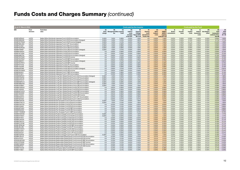| <b>As at 31 March 2022</b>   |                              |                                                                                                                                                        |                        |                                        |                | Costs paid by the investor                         |                                                        |                                                         | <b>Costs paid by the Fund</b>            |                                                                |                                              |                                 |                          |                                         |                                |                                                                 |                                           |
|------------------------------|------------------------------|--------------------------------------------------------------------------------------------------------------------------------------------------------|------------------------|----------------------------------------|----------------|----------------------------------------------------|--------------------------------------------------------|---------------------------------------------------------|------------------------------------------|----------------------------------------------------------------|----------------------------------------------|---------------------------------|--------------------------|-----------------------------------------|--------------------------------|-----------------------------------------------------------------|-------------------------------------------|
| ISIN                         | Fund<br>structure            | <b>Fund share</b><br>class                                                                                                                             | (A)<br>Entry<br>charge | (B)<br>Management Other ongoing<br>fee | (C)<br>costs   | (D)<br>Indirect<br>costs<br>included<br>in the OCF | (E)<br>Ongoing<br>Charges<br>Figure (OCF)<br>$(B+C+D)$ | (F)<br>Gearing<br>costs<br>(Investment)<br>Trusts only) | (G)<br>Other<br><b>Indirect</b><br>costs | (H)<br>PRIIPs/<br><b>MiFID II</b><br>ongoing<br>$costs(E+F+G)$ | $\mathbf{u}$<br><b>Broker</b><br>commissions | (J)<br><b>Transfer</b><br>taxes | (K)<br>Implicit<br>costs | (L)<br>Indirect<br>transaction<br>costs | (M)<br>Anti-dilution<br>offset | (N)<br><b>Total</b><br>transaction<br>costs (I+J+K+L<br>less M) | (O)<br><b>Total</b><br>Costs<br>$(H + N)$ |
| IE00BYNZR422                 | <b>UCITS</b>                 | Baillie Gifford Worldwide Japanese Fund A EUR Accumulation                                                                                             | 5.00%                  | 1.50%                                  | 0.08%          | 0.00%                                              | 1.58%                                                  | n/a                                                     | 0.00%                                    | 1.58%                                                          | 0.02%                                        | 0.00%                           | 0.09%                    | 0.00%                                   | 0.05%                          | 0.06%                                                           | 1.64%                                     |
| IE00BVGBXS28                 | <b>UCITS</b>                 | Baillie Gifford Worldwide Japanese Fund A EUR Accumulation (Hedged)                                                                                    | 5.00%                  | 1.50%                                  | 0.10%          | 0.00%                                              | 1.60%                                                  | n/a                                                     | 0.00%                                    | 1.60%                                                          | 0.02%                                        | 0.00%                           | 0.14%                    | 0.00%                                   | 0.05%                          | 0.11%                                                           | 1.71%                                     |
| IE00BFWYPN26                 | <b>UCITS</b>                 | Baillie Gifford Worldwide Japanese Fund A EUR Income (Hedged)                                                                                          | 5.00%                  | 1.50%                                  | 0.10%          | 0.00%                                              | 1.60%                                                  | n/a                                                     | 0.00%                                    | 1.60%                                                          | 0.02%                                        | 0.00%                           | $-0.21%$                 | 0.00%                                   | 0.05%                          | $-0.24%$                                                        | 1.36%                                     |
| IE00BFMNL083                 | <b>UCITS</b>                 | Baillie Gifford Worldwide Japanese Fund A JPY Accumulation                                                                                             | 5.00%                  | 1.50%                                  | 0.08%          | 0.00%                                              | 1.58%                                                  | n/a                                                     | 0.00%                                    | 1.58%                                                          | 0.02%                                        | 0.00%                           | 0.09%                    | 0.00%                                   | 0.05%                          | 0.06%                                                           | 1.64%                                     |
| IE00BF4LVG61<br>IE00BFWJRQ46 | <b>UCITS</b><br><b>UCITS</b> | Baillie Gifford Worldwide Japanese Fund A SEK Accumulation<br>Baillie Gifford Worldwide Japanese Fund A USD Accumulation                               | 5.00%<br>5.00%         | 1.50%<br>1.50%                         | 0.08%          | 0.00%<br>0.00%                                     | 1.58%                                                  | n/a                                                     | 0.00%<br>0.00%                           | 1.58%<br>1.58%                                                 | 0.02%<br>0.02%                               | 0.00%<br>0.00%                  | 0.09%                    | 0.00%<br>0.00%                          | 0.05%<br>0.05%                 | 0.06%<br>0.06%                                                  | 1.64%<br>1.64%                            |
| IE00BK70X697                 | <b>UCITS</b>                 | Baillie Gifford Worldwide Japanese Fund A USD Accumulation (Hedged)                                                                                    | 5.00%                  | 1.50%                                  | 0.08%<br>0.10% | 0.00%                                              | 1.58%<br>1.60%                                         | n/a<br>n/a                                              | 0.00%                                    | 1.60%                                                          | 0.02%                                        | 0.00%                           | 0.09%<br>0.06%           | 0.00%                                   | 0.05%                          | 0.03%                                                           | 1.63%                                     |
| IE00BN15WQ41                 | <b>UCITS</b>                 | Baillie Gifford Worldwide Japanese Fund B CHF Accumulation                                                                                             | n/a                    | 0.60%                                  | 0.08%          | 0.00%                                              | 0.68%                                                  | n/a                                                     | 0.00%                                    | 0.68%                                                          | 0.02%                                        | 0.00%                           | 0.09%                    | 0.00%                                   | 0.05%                          | 0.06%                                                           | 0.74%                                     |
| IE00BYW73306                 | <b>UCITS</b>                 | Baillie Gifford Worldwide Japanese Fund B EUR Accumulation                                                                                             | n/a                    | 0.60%                                  | 0.08%          | 0.00%                                              | 0.68%                                                  | n/a                                                     | 0.00%                                    | 0.68%                                                          | 0.02%                                        | 0.00%                           | 0.09%                    | 0.00%                                   | 0.05%                          | 0.06%                                                           | 0.74%                                     |
| IE00BVGBXT35                 | <b>UCITS</b>                 | Baillie Gifford Worldwide Japanese Fund B EUR Accumulation (Hedged)                                                                                    | n/a                    | 0.60%                                  | 0.10%          | 0.00%                                              | 0.70%                                                  | n/a                                                     | 0.00%                                    | 0.70%                                                          | 0.02%                                        | 0.00%                           | $-0.12%$                 | 0.00%                                   | 0.05%                          | $-0.15%$                                                        | 0.55%                                     |
| IE00BFWVPQ67                 | <b>UCITS</b>                 | Baillie Gifford Worldwide Japanese Fund B EUR Income                                                                                                   | n/a                    | 0.60%                                  | 0.08%          | 0.00%                                              | 0.68%                                                  | n/a                                                     | 0.00%                                    | 0.68%                                                          | 0.02%                                        | 0.00%                           | 0.09%                    | 0.00%                                   | 0.05%                          | 0.06%                                                           | 0.74%                                     |
| IE00BFWVPN37                 | <b>UCITS</b>                 | Baillie Gifford Worldwide Japanese Fund B GBP Accumulation                                                                                             | n/a                    | 0.60%                                  | 0.08%          | 0.00%                                              | 0.68%                                                  | n/a                                                     | 0.00%                                    | 0.68%                                                          | 0.02%                                        | 0.00%                           | 0.09%                    | 0.00%                                   | 0.05%                          | 0.06%                                                           | 0.74%                                     |
| IE00BVGBXR11                 | <b>UCITS</b>                 | Baillie Gifford Worldwide Japanese Fund B GBP Accumulation (Hedged)                                                                                    | n/a                    | 0.60%                                  | 0.10%          | 0.00%                                              | 0.70%                                                  | n/a                                                     | 0.00%                                    | 0.70%                                                          | 0.02%                                        | 0.00%                           | $-0.04%$                 | 0.00%                                   | 0.05%                          | $-0.06%$                                                        | 0.64%                                     |
| IE00BFWVPR74                 | <b>UCITS</b>                 | Baillie Gifford Worldwide Japanese Fund B GBP Income                                                                                                   | n/a                    | 0.60%                                  | 0.08%          | 0.00%                                              | 0.68%                                                  | n/a                                                     | 0.00%                                    | 0.68%                                                          | 0.02%                                        | 0.00%                           | 0.09%                    | 0.00%                                   | 0.05%                          | 0.06%                                                           | 0.74%                                     |
| IE00BPYP3T56                 | <b>UCITS</b>                 | Baillie Gifford Worldwide Japanese Fund B JPY Accumulation                                                                                             | n/a                    | 0.60%                                  | 0.08%          | 0.00%                                              | 0.68%                                                  | n/a                                                     | 0.00%                                    | 0.68%                                                          | 0.02%                                        | 0.00%                           | 0.09%                    | 0.00%                                   | 0.05%                          | 0.06%                                                           | 0.74%                                     |
| IE00BY7S4358                 | <b>UCITS</b>                 | Baillie Gifford Worldwide Japanese Fund B USD Accumulation                                                                                             | n/a                    | 0.60%                                  | 0.08%          | 0.00%                                              | 0.68%                                                  | n/a                                                     | 0.00%                                    | 0.68%                                                          | 0.02%                                        | 0.00%                           | 0.09%                    | 0.00%                                   | 0.05%                          | 0.06%                                                           | 0.74%                                     |
| IE00BXDZF966                 | <b>UCITS</b>                 | Baillie Gifford Worldwide Japanese Fund B USD Accumulation (Hedged)                                                                                    | n/a                    | 0.60%                                  | 0.10%          | 0.00%                                              | 0.70%                                                  | n/a                                                     | 0.00%                                    | 0.70%                                                          | 0.02%                                        | 0.00%                           | $-0.01%$                 | 0.00%                                   | 0.05%                          | $-0.03%$                                                        | 0.67%                                     |
| IE00BFWVPM20                 | <b>UCITS</b>                 | Baillie Gifford Worldwide Japanese Fund B USD Income                                                                                                   | n/a                    | 0.60%                                  | 0.08%          | 0.00%                                              | 0.68%                                                  | n/a                                                     | 0.00%                                    | 0.68%                                                          | 0.02%                                        | 0.00%                           | 0.09%                    | 0.00%                                   | 0.05%                          | 0.06%                                                           | 0.74%                                     |
| IE00BP852R21                 | <b>UCITS</b>                 | Baillie Gifford Worldwide Japanese Fund C GBP Accumulation                                                                                             | n/a                    | 0.00%                                  | 0.08%          | 0.00%                                              | 0.08%                                                  | n/a                                                     | 0.00%                                    | 0.08%                                                          | 0.02%                                        | 0.00%                           | 0.09%                    | 0.00%                                   | 0.05%                          | 0.06%                                                           | 0.14%                                     |
| IE00BF2C5811                 | <b>UCITS</b>                 | Baillie Gifford Worldwide Japanese Fund C USD Accumulation                                                                                             | n/a                    | 0.00%                                  | 0.08%          | 0.00%                                              | 0.08%                                                  | n/a                                                     | 0.00%                                    | 0.08%                                                          | 0.02%                                        | 0.00%                           | 0.09%                    | 0.00%                                   | 0.05%                          | 0.06%                                                           | 0.14%                                     |
| IE00BMD8PD21                 | <b>UCITS</b>                 | Baillie Gifford Worldwide Long Term Global Growth Fund A AUD Accumulation (Hedged)                                                                     | 5.00%                  | 1.50%                                  | 0.09%          | 0.00%                                              | 1.59%                                                  | n/a                                                     | 0.00%                                    | 1.59%                                                          | 0.03%                                        | 0.03%                           | 0.33%                    | 0.00%                                   | 0.10%                          | 0.30%                                                           | 1.89%                                     |
| IE00BN15WF36                 | <b>UCITS</b>                 | Baillie Gifford Worldwide Long Term Global Growth Fund A CHF Accumulation                                                                              | 5.00%                  | 1.50%                                  | 0.07%          | 0.00%                                              | 1.57%                                                  | n/a                                                     | 0.00%                                    | 1.57%                                                          | 0.03%                                        | 0.03%                           | 0.32%                    | 0.00%                                   | 0.10%                          | 0.28%                                                           | 1.85%                                     |
| IE00BK5TW727                 | <b>UCITS</b>                 | Baillie Gifford Worldwide Long Term Global Growth Fund A EUR Accumulation                                                                              | 5.00%                  | 1.50%                                  | 0.06%          | 0.00%                                              | 1.56%                                                  | n/a                                                     | 0.00%                                    | 1.56%                                                          | 0.03%                                        | 0.03%                           | 0.32%                    | 0.00%                                   | 0.10%                          | 0.28%                                                           | 1.84%                                     |
| IE00BMD8PC14                 | <b>UCITS</b>                 | Baillie Gifford Worldwide Long Term Global Growth Fund A GBP Accumulation (Hedged)                                                                     | 5.00%                  | 1.50%                                  | 0.09%          | 0.00%                                              | 1.59%                                                  | n/a                                                     | 0.00%                                    | 1.59%                                                          | 0.03%                                        | 0.03%                           | 0.37%                    | 0.00%                                   | 0.10%                          | 0.33%                                                           | 1.92%                                     |
| IE00BHNBGF56                 | <b>UCITS</b>                 | Baillie Gifford Worldwide Long Term Global Growth Fund A SGD Accumulation                                                                              | 5.00%                  | 1.50%                                  | 0.07%          | 0.00%                                              | 1.57%                                                  | n/a                                                     | 0.00%                                    | 1.57%                                                          | 0.03%                                        | 0.03%                           | 0.32%                    | 0.00%                                   | 0.10%                          | 0.28%                                                           | 1.85%                                     |
| IE00BD1DSB51                 | <b>UCITS</b>                 | Baillie Gifford Worldwide Long Term Global Growth Fund A USD Accumulation                                                                              | 5.00%                  | 1.50%                                  | 0.06%          | 0.00%                                              | 1.56%                                                  | n/a                                                     | 0.00%                                    | 1.56%                                                          | 0.03%                                        | 0.03%                           | 0.32%                    | 0.00%                                   | 0.10%                          | 0.28%                                                           | 1.84%                                     |
| IE00BN15WG43                 | <b>UCITS</b>                 | Baillie Gifford Worldwide Long Term Global Growth Fund B CHF Accumulation                                                                              | n/a                    | 0.62%                                  | 0.06%          | 0.00%                                              | 0.68%                                                  | n/a                                                     | 0.00%                                    | 0.68%                                                          | 0.03%                                        | 0.03%                           | 0.32%                    | 0.00%                                   | 0.10%                          | 0.28%                                                           | 0.96%                                     |
| IE00BYX4R502<br>IE00BG4PVW16 | <b>UCITS</b><br><b>UCITS</b> | Baillie Gifford Worldwide Long Term Global Growth Fund B EUR Accumulation                                                                              | n/a<br>n/a             | 0.62%<br>0.62%                         | 0.06%<br>0.06% | 0.00%<br>0.00%                                     | 0.68%<br>0.68%                                         | n/a<br>n/a                                              | 0.00%<br>0.00%                           | 0.68%<br>0.68%                                                 | 0.03%                                        | 0.03%<br>0.03%                  | 0.32%<br>0.32%           | 0.00%<br>0.00%                          | 0.10%<br>0.10%                 | 0.28%<br>0.28%                                                  | 0.96%<br>0.96%                            |
| IE00BYQG5606                 | <b>UCITS</b>                 | Baillie Gifford Worldwide Long Term Global Growth Fund B GBP Accumulation<br>Baillie Gifford Worldwide Long Term Global Growth Fund B USD Accumulation | n/a                    | 0.62%                                  | 0.06%          | 0.00%                                              | 0.68%                                                  | n/a                                                     | 0.00%                                    | 0.68%                                                          | 0.03%<br>0.03%                               | 0.03%                           | 0.32%                    | 0.00%                                   | 0.10%                          | 0.28%                                                           | 0.96%                                     |
| IE00BJ7VXX24                 | <b>UCITS</b>                 | Baillie Gifford Worldwide Long Term Global Growth Fund B USD Income                                                                                    | n/a                    | 0.62%                                  | 0.06%          | 0.00%                                              | 0.68%                                                  | n/a                                                     | 0.00%                                    | 0.68%                                                          | 0.03%                                        | 0.03%                           | 0.32%                    | 0.00%                                   | 0.10%                          | 0.28%                                                           | 0.96%                                     |
| IE00BD5GZ312                 | <b>UCITS</b>                 | Baillie Gifford Worldwide Long Term Global Growth Fund C JPY Accumulation                                                                              | n/a                    | 0.00%                                  | 0.06%          | 0.00%                                              | $0.06\%$                                               | n/a                                                     | 0.00%                                    | 0.06%                                                          | 0.03%                                        | 0.03%                           | 0.32%                    | 0.00%                                   | 0.10%                          | 0.28%                                                           | 0.34%                                     |
| IE00BYQ91946                 | <b>UCITS</b>                 | Baillie Gifford Worldwide Long Term Global Growth Fund C USD Accumulation                                                                              | n/a                    | 0.00%                                  | 0.07%          | 0.00%                                              | 0.07%                                                  | n/a                                                     | 0.00%                                    | 0.07%                                                          | 0.03%                                        | 0.03%                           | 0.32%                    | 0.00%                                   | 0.10%                          | 0.28%                                                           | 0.35%                                     |
| IE00BN15WX18                 | <b>UCITS</b>                 | Baillie Gifford Worldwide Pan-European Fund A CHF Accumulation                                                                                         | 5.00%                  | 1.50%                                  | 0.10%          | 0.00%                                              | 1.60%                                                  | n/a                                                     | 0.00%                                    | 1.60%                                                          | 0.03%                                        | 0.07%                           | 0.05%                    | 0.00%                                   | 0.12%                          | 0.03%                                                           | 1.63%                                     |
| IE00BK5TWC73                 | <b>UCITS</b>                 | Baillie Gifford Worldwide Pan-European Fund A EUR Accumulation                                                                                         | 5.00%                  | 1.50%                                  | 0.10%          | 0.00%                                              | 1.60%                                                  | n/a                                                     | 0.00%                                    | 1.60%                                                          | 0.03%                                        | 0.07%                           | 0.05%                    | 0.00%                                   | 0.12%                          | 0.03%                                                           | 1.63%                                     |
| IE00BN15WY25                 | <b>UCITS</b>                 | Baillie Gifford Worldwide Pan-European Fund B CHF Accumulation                                                                                         | n/a                    | 0.55%                                  | 0.10%          | 0.00%                                              | 0.65%                                                  | n/a                                                     | 0.00%                                    | 0.65%                                                          | 0.03%                                        | 0.07%                           | 0.05%                    | 0.00%                                   | 0.12%                          | 0.03%                                                           | 0.68%                                     |
| IE00B9103N50                 | <b>UCITS</b>                 | Baillie Gifford Worldwide Pan-European Fund B EUR Accumulation                                                                                         | n/a                    | 0.55%                                  | 0.10%          | 0.00%                                              | 0.65%                                                  | n/a                                                     | 0.00%                                    | 0.65%                                                          | 0.03%                                        | 0.07%                           | 0.05%                    | 0.00%                                   | 0.12%                          | 0.03%                                                           | 0.68%                                     |
| IE00BG0PVQ91                 | <b>UCITS</b>                 | Baillie Gifford Worldwide Pan-European Fund B GBP Accumulation                                                                                         | n/a                    | 0.55%                                  | 0.10%          | 0.00%                                              | 0.65%                                                  | n/a                                                     | 0.00%                                    | 0.65%                                                          | 0.03%                                        | 0.07%                           | 0.05%                    | 0.00%                                   | 0.12%                          | 0.03%                                                           | 0.68%                                     |
| IE00B9XQK303                 | <b>UCITS</b>                 | Baillie Gifford Worldwide Pan-European Fund B USD Accumulation                                                                                         | n/a                    | 0.55%                                  | 0.10%          | 0.00%                                              | 0.65%                                                  | n/a                                                     | 0.00%                                    | 0.65%                                                          | 0.03%                                        | 0.07%                           | 0.05%                    | 0.00%                                   | 0.12%                          | 0.03%                                                           | 0.68%                                     |
| IE00BYYWQB26                 | <b>UCITS</b>                 | Baillie Gifford Worldwide Pan-European Fund C GBP Accumulation                                                                                         | n/a                    | 0.00%                                  | 0.10%          | 0.00%                                              | 0.10%                                                  | n/a                                                     | 0.00%                                    | 0.10%                                                          | 0.03%                                        | 0.07%                           | 0.05%                    | 0.00%                                   | 0.12%                          | 0.03%                                                           | 0.13%                                     |
| IE00BN15WH59                 | <b>UCITS</b>                 | Baillie Gifford Worldwide Positive Change Fund A CHF Accumulation                                                                                      | 5.00%                  | 1.50%                                  | 0.05%          | 0.00%                                              | 1.55%                                                  | n/a                                                     | 0.00%                                    | 1.55%                                                          | 0.03%                                        | 0.04%                           | 0.21%                    | 0.00%                                   | 0.12%                          | 0.16%                                                           | 1.71%                                     |
| IE00BK5TW941                 | <b>UCITS</b>                 | Baillie Gifford Worldwide Positive Change Fund A EUR Accumulation                                                                                      | 5.00%                  | 1.50%                                  | 0.05%          | $0.00\%$                                           | 1.55%                                                  | n/a                                                     | $0.00\%$                                 | 1.55%                                                          | 0.03%                                        | 0.04%                           | 0.21%                    | $0.00\%$                                | 0.12%                          | 0.16%                                                           | 1.71%                                     |
| IE00BD3TXF01                 | <b>UCITS</b>                 | Baillie Gifford Worldwide Positive Change Fund B AUD Accumulation                                                                                      | n/a                    | 0.50%                                  | 0.05%          | 0.00%                                              | 0.55%                                                  | n/a                                                     | 0.00%                                    | 0.55%                                                          | 0.03%                                        | 0.04%                           | 0.21%                    | 0.00%                                   | 0.12%                          | 0.16%                                                           | 0.71%                                     |
| IE00BKLVKQ76                 | <b>UCITS</b>                 | Baillie Gifford Worldwide Positive Change Fund B CAD Accumulation                                                                                      | n/a                    | 0.50%                                  | 0.05%          | 0.00%                                              | 0.55%                                                  | n/a                                                     | 0.00%                                    | 0.55%                                                          | 0.03%                                        | 0.04%                           | 0.21%                    | 0.00%                                   | 0.12%                          | 0.16%                                                           | 0.71%                                     |
| IE00BN15WJ73                 | <b>UCITS</b>                 | Baillie Gifford Worldwide Positive Change Fund B CHF Accumulation                                                                                      | n/a                    | 0.50%                                  | 0.05%          | 0.00%                                              | 0.55%                                                  | n/a                                                     | 0.00%                                    | 0.55%                                                          | 0.03%                                        | 0.04%                           | 0.21%                    | 0.00%                                   | 0.12%                          | 0.16%                                                           | 0.71%                                     |
| IE00BDCY2C68                 | <b>UCITS</b>                 | Baillie Gifford Worldwide Positive Change Fund B EUR Accumulation                                                                                      | n/a                    | 0.50%                                  | 0.05%          | 0.00%                                              | 0.55%                                                  | n/a                                                     | 0.00%                                    | 0.55%                                                          | 0.03%                                        | 0.04%                           | 0.21%                    | 0.00%                                   | 0.12%                          | 0.16%                                                           | 0.71%                                     |
| IE00BLRPML96                 | <b>UCITS</b>                 | Baillie Gifford Worldwide Positive Change Fund B GBP Accumulation                                                                                      | n/a                    | 0.50%                                  | 0.05%          | 0.00%                                              | 0.55%                                                  | n/a                                                     | 0.00%                                    | 0.55%                                                          | 0.03%                                        | 0.04%                           | 0.21%                    | 0.00%                                   | 0.12%                          | 0.16%                                                           | 0.71%                                     |
| IE00BL9XLZ85                 | <b>UCITS</b>                 | Baillie Gifford Worldwide Positive Change Fund B JPY Accumulation                                                                                      | n/a                    | 0.50%                                  | 0.05%          | 0.00%                                              | 0.55%                                                  | n/a                                                     | 0.00%                                    | 0.55%                                                          | 0.03%                                        | 0.04%                           | 0.21%                    | 0.00%                                   | 0.12%                          | 0.16%                                                           | 0.71%                                     |
| IE00BDCY2N73<br>IE00BG47J676 | <b>UCITS</b><br><b>UCITS</b> | Baillie Gifford Worldwide Positive Change Fund B USD Accumulation<br>Baillie Gifford Worldwide Positive Change Fund C AUD Accumulation                 | n/a                    | 0.50%<br>0.00%                         | 0.05%<br>0.05% | 0.00%<br>0.00%                                     | 0.55%<br>0.05%                                         | n/a<br>n/a                                              | 0.00%                                    | 0.55%<br>0.05%                                                 | 0.03%                                        | 0.04%<br>0.04%                  | 0.21%                    | 0.00%<br>0.00%                          | 0.12%<br>0.12%                 | 0.16%<br>0.16%                                                  | 0.71%<br>0.21%                            |
| IE00BJK3VZ31                 | <b>UCITS</b>                 | Baillie Gifford Worldwide Positive Change Fund C JPY Accumulation                                                                                      | n/a<br>n/a             | 0.00%                                  | 0.05%          | 0.00%                                              | 0.05%                                                  | n/a                                                     | 0.00%<br>0.00%                           | 0.05%                                                          | 0.03%<br>0.03%                               | 0.04%                           | 0.21%<br>0.21%           | 0.00%                                   | 0.12%                          | 0.16%                                                           | 0.21%                                     |
| IE00BK70ZP28                 | <b>UCITS</b>                 | Baillie Gifford Worldwide Positive Change Fund Fund A USD Accumulation                                                                                 | 5.00%                  | 1.50%                                  | 0.05%          | 0.00%                                              | 1.55%                                                  | n/a                                                     | 0.00%                                    | 1.55%                                                          | 0.03%                                        | 0.04%                           | 0.21%                    | 0.00%                                   | 0.12%                          | 0.16%                                                           | 1.71%                                     |
| IE00BNTJ9L23                 | <b>UCITS</b>                 | Baillie Gifford Worldwide Responsible Global Equity Fund Income B EUR Accumulation                                                                     | n/a                    | 0.25%                                  | 0.15%          | 0.00%                                              | 0.40%                                                  | n/a                                                     | 0.01%                                    | 0.41%                                                          | 0.01%                                        | 0.03%                           | 0.03%                    | 0.00%                                   | 0.07%                          | 0.01%                                                           | 0.43%                                     |
| IE00044Y5V41                 | <b>UCITS</b>                 | Baillie Gifford Worldwide Responsible Global Equity Fund Income B EUR Income                                                                           | n/a                    | 0.25%                                  | 0.15%          | 0.00%                                              | 0.40%                                                  | n/a                                                     | 0.01%                                    | 0.41%                                                          | 0.01%                                        | 0.03%                           | 0.03%                    | 0.00%                                   | 0.07%                          | 0.01%                                                           | 0.43%                                     |
| IE000WUM70S2                 | <b>UCITS</b>                 | Baillie Gifford Worldwide Responsible Global Equity Fund Income B GBP Accumulation                                                                     | n/a                    | 0.25%                                  | 0.15%          | 0.00%                                              | $0.40\%$                                               | n/a                                                     | 0.01%                                    | 0.41%                                                          | 0.01%                                        | 0.03%                           | 0.03%                    | 0.00%                                   | 0.07%                          | 0.01%                                                           | 0.43%                                     |
| IE000TCFRGS6                 | <b>UCITS</b>                 | Baillie Gifford Worldwide Responsible Global Equity Fund Income B GBP Income                                                                           | n/a                    | 0.25%                                  | 0.15%          | 0.00%                                              | 0.40%                                                  | n/a                                                     | 0.01%                                    | 0.41%                                                          | 0.01%                                        | 0.03%                           | 0.03%                    | 0.00%                                   | 0.07%                          | 0.01%                                                           | 0.43%                                     |
| IE00BNTJ9M30                 | <b>UCITS</b>                 | Baillie Gifford Worldwide Responsible Global Equity Fund Income B USD Accumulation                                                                     | n/a                    | 0.25%                                  | 0.15%          | 0.00%                                              | 0.40%                                                  | n/a                                                     | 0.01%                                    | 0.41%                                                          | 0.01%                                        | 0.03%                           | 0.03%                    | 0.00%                                   | 0.07%                          | 0.01%                                                           | 0.43%                                     |
| IE000B5ZP5Z1                 | <b>UCITS</b>                 | Baillie Gifford Worldwide Responsible Global Equity Fund Income B USD Income                                                                           | n/a                    | 0.25%                                  | 0.15%          | 0.00%                                              | 0.40%                                                  | n/a                                                     | 0.01%                                    | 0.41%                                                          | 0.01%                                        | 0.03%                           | 0.03%                    | 0.00%                                   | 0.07%                          | 0.01%                                                           | 0.43%                                     |
| IE00BN715C38                 | <b>UCITS</b>                 | Baillie Gifford Worldwide UK Equity Alpha Fund B EUR Accumulation                                                                                      | n/a                    | 0.24%                                  | 0.14%          | 0.00%                                              | 0.38%                                                  | n/a                                                     | 0.00%                                    | 0.38%                                                          | 0.01%                                        | 0.02%                           | 0.13%                    | 0.00%                                   | 0.05%                          | 0.11%                                                           | 0.49%                                     |
| IE00BN715B21                 | <b>UCITS</b>                 | Baillie Gifford Worldwide UK Equity Alpha Fund B GBP Accumulation                                                                                      | n/a                    | 0.24%                                  | 0.14%          | 0.00%                                              | 0.38%                                                  | n/a                                                     | 0.00%                                    | 0.38%                                                          | 0.01%                                        | 0.02%                           | 0.13%                    | 0.00%                                   | 0.05%                          | 0.11%                                                           | 0.49%                                     |